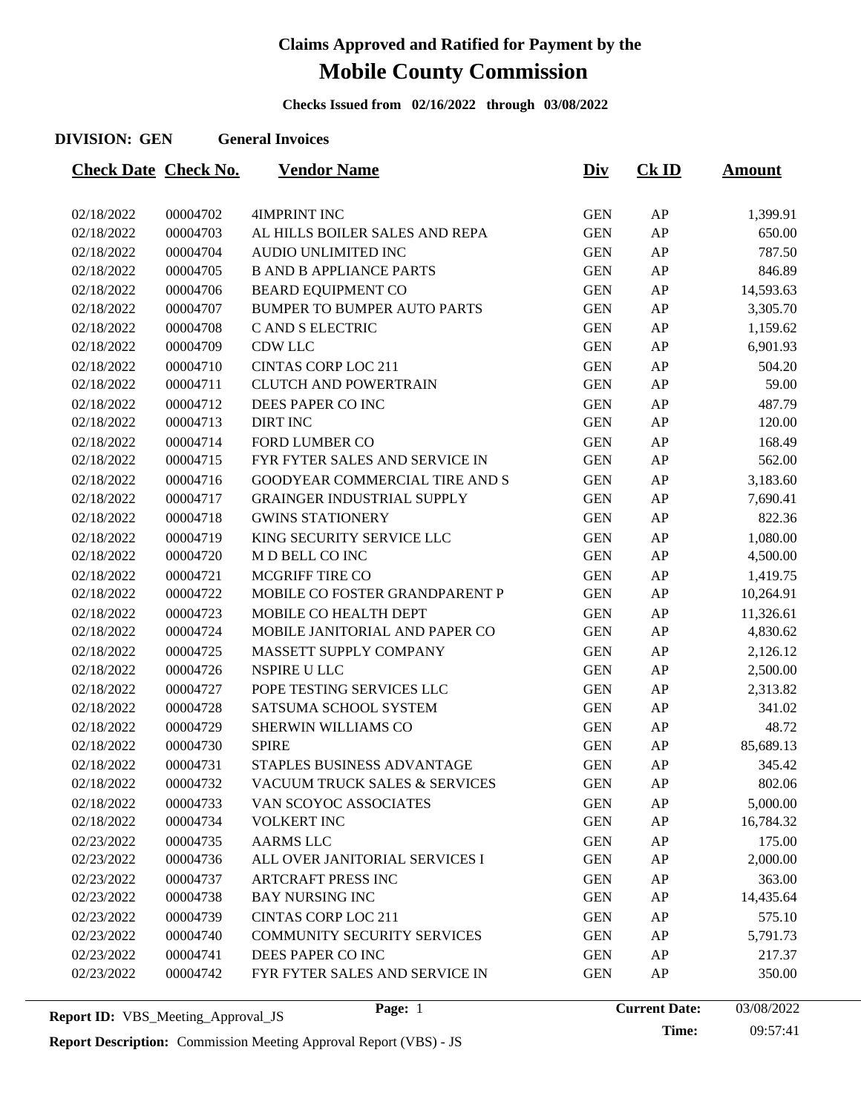**Checks Issued from 02/16/2022 through 03/08/2022**

#### **DIVISION: GEN General Invoices**

| <b>Check Date Check No.</b> |          | <u>Vendor Name</u>                 | <u>Div</u> | $CK$ ID | <b>Amount</b> |
|-----------------------------|----------|------------------------------------|------------|---------|---------------|
|                             |          |                                    |            |         |               |
| 02/18/2022                  | 00004702 | <b>4IMPRINT INC</b>                | <b>GEN</b> | AP      | 1,399.91      |
| 02/18/2022                  | 00004703 | AL HILLS BOILER SALES AND REPA     | <b>GEN</b> | AP      | 650.00        |
| 02/18/2022                  | 00004704 | <b>AUDIO UNLIMITED INC</b>         | <b>GEN</b> | AP      | 787.50        |
| 02/18/2022                  | 00004705 | <b>B AND B APPLIANCE PARTS</b>     | <b>GEN</b> | AP      | 846.89        |
| 02/18/2022                  | 00004706 | <b>BEARD EQUIPMENT CO</b>          | <b>GEN</b> | AP      | 14,593.63     |
| 02/18/2022                  | 00004707 | <b>BUMPER TO BUMPER AUTO PARTS</b> | <b>GEN</b> | AP      | 3,305.70      |
| 02/18/2022                  | 00004708 | C AND S ELECTRIC                   | <b>GEN</b> | AP      | 1,159.62      |
| 02/18/2022                  | 00004709 | <b>CDW LLC</b>                     | <b>GEN</b> | AP      | 6,901.93      |
| 02/18/2022                  | 00004710 | <b>CINTAS CORP LOC 211</b>         | <b>GEN</b> | AP      | 504.20        |
| 02/18/2022                  | 00004711 | <b>CLUTCH AND POWERTRAIN</b>       | <b>GEN</b> | AP      | 59.00         |
| 02/18/2022                  | 00004712 | DEES PAPER CO INC                  | <b>GEN</b> | AP      | 487.79        |
| 02/18/2022                  | 00004713 | <b>DIRT INC</b>                    | <b>GEN</b> | AP      | 120.00        |
| 02/18/2022                  | 00004714 | <b>FORD LUMBER CO</b>              | <b>GEN</b> | AP      | 168.49        |
| 02/18/2022                  | 00004715 | FYR FYTER SALES AND SERVICE IN     | <b>GEN</b> | AP      | 562.00        |
| 02/18/2022                  | 00004716 | GOODYEAR COMMERCIAL TIRE AND S     | <b>GEN</b> | AP      | 3,183.60      |
| 02/18/2022                  | 00004717 | <b>GRAINGER INDUSTRIAL SUPPLY</b>  | <b>GEN</b> | AP      | 7,690.41      |
| 02/18/2022                  | 00004718 | <b>GWINS STATIONERY</b>            | <b>GEN</b> | AP      | 822.36        |
| 02/18/2022                  | 00004719 | KING SECURITY SERVICE LLC          | <b>GEN</b> | AP      | 1,080.00      |
| 02/18/2022                  | 00004720 | M D BELL CO INC                    | <b>GEN</b> | AP      | 4,500.00      |
| 02/18/2022                  | 00004721 | MCGRIFF TIRE CO                    | <b>GEN</b> | AP      | 1,419.75      |
| 02/18/2022                  | 00004722 | MOBILE CO FOSTER GRANDPARENT P     | <b>GEN</b> | AP      | 10,264.91     |
| 02/18/2022                  | 00004723 | MOBILE CO HEALTH DEPT              | <b>GEN</b> | AP      | 11,326.61     |
| 02/18/2022                  | 00004724 | MOBILE JANITORIAL AND PAPER CO     | <b>GEN</b> | AP      | 4,830.62      |
| 02/18/2022                  | 00004725 | MASSETT SUPPLY COMPANY             | <b>GEN</b> | AP      | 2,126.12      |
| 02/18/2022                  | 00004726 | NSPIRE U LLC                       | <b>GEN</b> | AP      | 2,500.00      |
| 02/18/2022                  | 00004727 | POPE TESTING SERVICES LLC          | <b>GEN</b> | AP      | 2,313.82      |
| 02/18/2022                  | 00004728 | SATSUMA SCHOOL SYSTEM              | <b>GEN</b> | AP      | 341.02        |
| 02/18/2022                  | 00004729 | SHERWIN WILLIAMS CO                | <b>GEN</b> | AP      | 48.72         |
| 02/18/2022                  | 00004730 | <b>SPIRE</b>                       | <b>GEN</b> | AP      | 85,689.13     |
| 02/18/2022                  | 00004731 | STAPLES BUSINESS ADVANTAGE         | <b>GEN</b> | AP      | 345.42        |
| 02/18/2022                  | 00004732 | VACUUM TRUCK SALES & SERVICES      | <b>GEN</b> | AP      | 802.06        |
| 02/18/2022                  | 00004733 | VAN SCOYOC ASSOCIATES              | <b>GEN</b> | AP      | 5,000.00      |
| 02/18/2022                  | 00004734 | <b>VOLKERT INC</b>                 | <b>GEN</b> | AP      | 16,784.32     |
| 02/23/2022                  | 00004735 | <b>AARMS LLC</b>                   | <b>GEN</b> | AP      | 175.00        |
| 02/23/2022                  | 00004736 | ALL OVER JANITORIAL SERVICES I     | <b>GEN</b> | AP      | 2,000.00      |
| 02/23/2022                  | 00004737 | <b>ARTCRAFT PRESS INC</b>          | <b>GEN</b> | AP      | 363.00        |
| 02/23/2022                  | 00004738 | <b>BAY NURSING INC</b>             | <b>GEN</b> | AP      | 14,435.64     |
| 02/23/2022                  | 00004739 | <b>CINTAS CORP LOC 211</b>         | <b>GEN</b> | AP      | 575.10        |
| 02/23/2022                  | 00004740 | COMMUNITY SECURITY SERVICES        | <b>GEN</b> | AP      | 5,791.73      |
| 02/23/2022                  | 00004741 | DEES PAPER CO INC                  | <b>GEN</b> | AP      | 217.37        |
| 02/23/2022                  | 00004742 | FYR FYTER SALES AND SERVICE IN     | <b>GEN</b> | AP      | 350.00        |
|                             |          |                                    |            |         |               |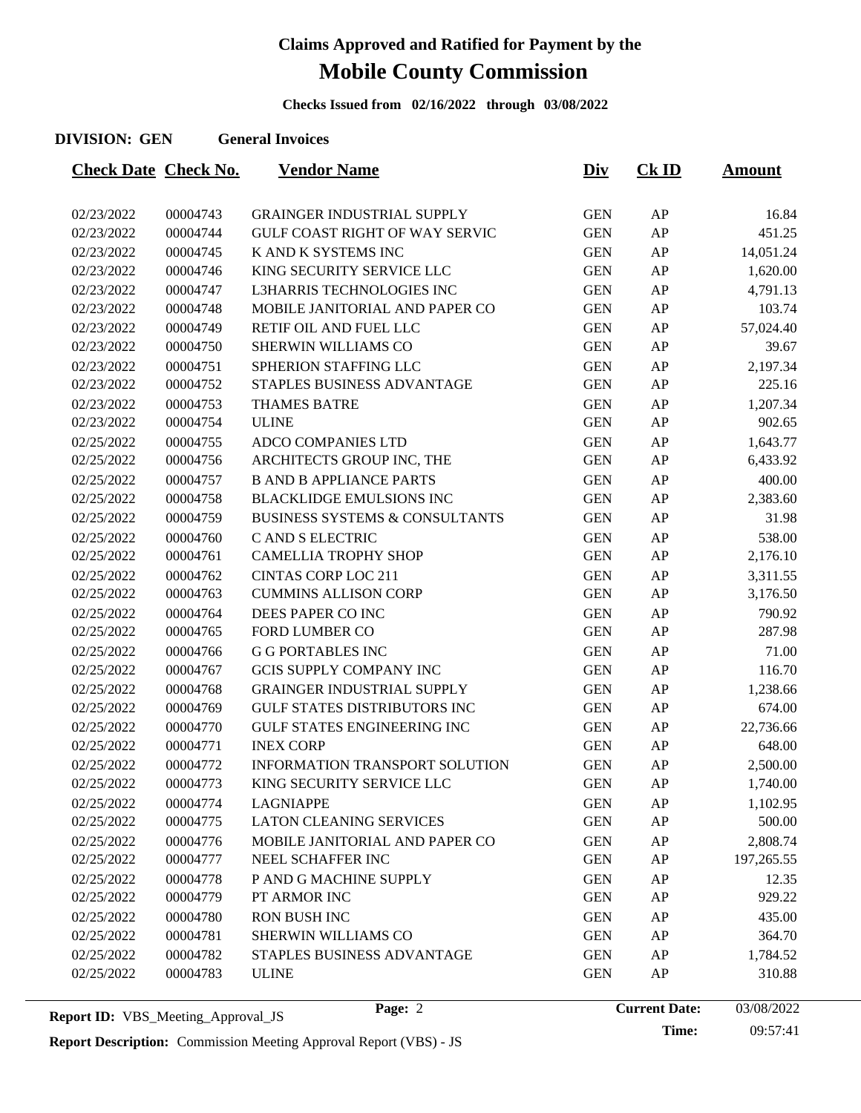**Checks Issued from 02/16/2022 through 03/08/2022**

#### **DIVISION: GEN General Invoices**

| <b>Check Date Check No.</b> |          | <b>Vendor Name</b>                        | <u>Div</u> | $CK$ ID | <u>Amount</u> |
|-----------------------------|----------|-------------------------------------------|------------|---------|---------------|
|                             |          |                                           |            |         |               |
| 02/23/2022                  | 00004743 | <b>GRAINGER INDUSTRIAL SUPPLY</b>         | <b>GEN</b> | AP      | 16.84         |
| 02/23/2022                  | 00004744 | <b>GULF COAST RIGHT OF WAY SERVIC</b>     | <b>GEN</b> | AP      | 451.25        |
| 02/23/2022                  | 00004745 | K AND K SYSTEMS INC                       | <b>GEN</b> | AP      | 14,051.24     |
| 02/23/2022                  | 00004746 | KING SECURITY SERVICE LLC                 | <b>GEN</b> | AP      | 1,620.00      |
| 02/23/2022                  | 00004747 | L3HARRIS TECHNOLOGIES INC                 | <b>GEN</b> | AP      | 4,791.13      |
| 02/23/2022                  | 00004748 | MOBILE JANITORIAL AND PAPER CO            | <b>GEN</b> | AP      | 103.74        |
| 02/23/2022                  | 00004749 | RETIF OIL AND FUEL LLC                    | <b>GEN</b> | AP      | 57,024.40     |
| 02/23/2022                  | 00004750 | <b>SHERWIN WILLIAMS CO</b>                | <b>GEN</b> | AP      | 39.67         |
| 02/23/2022                  | 00004751 | SPHERION STAFFING LLC                     | <b>GEN</b> | AP      | 2,197.34      |
| 02/23/2022                  | 00004752 | STAPLES BUSINESS ADVANTAGE                | <b>GEN</b> | AP      | 225.16        |
| 02/23/2022                  | 00004753 | <b>THAMES BATRE</b>                       | <b>GEN</b> | AP      | 1,207.34      |
| 02/23/2022                  | 00004754 | <b>ULINE</b>                              | <b>GEN</b> | AP      | 902.65        |
| 02/25/2022                  | 00004755 | ADCO COMPANIES LTD                        | <b>GEN</b> | AP      | 1,643.77      |
| 02/25/2022                  | 00004756 | ARCHITECTS GROUP INC, THE                 | <b>GEN</b> | AP      | 6,433.92      |
| 02/25/2022                  | 00004757 | <b>B AND B APPLIANCE PARTS</b>            | <b>GEN</b> | AP      | 400.00        |
| 02/25/2022                  | 00004758 | <b>BLACKLIDGE EMULSIONS INC</b>           | <b>GEN</b> | AP      | 2,383.60      |
| 02/25/2022                  | 00004759 | <b>BUSINESS SYSTEMS &amp; CONSULTANTS</b> | <b>GEN</b> | AP      | 31.98         |
| 02/25/2022                  | 00004760 | C AND S ELECTRIC                          | <b>GEN</b> | AP      | 538.00        |
| 02/25/2022                  | 00004761 | <b>CAMELLIA TROPHY SHOP</b>               | <b>GEN</b> | AP      | 2,176.10      |
| 02/25/2022                  | 00004762 | <b>CINTAS CORP LOC 211</b>                | <b>GEN</b> | AP      | 3,311.55      |
| 02/25/2022                  | 00004763 | <b>CUMMINS ALLISON CORP</b>               | <b>GEN</b> | AP      | 3,176.50      |
| 02/25/2022                  | 00004764 | DEES PAPER CO INC                         | <b>GEN</b> | AP      | 790.92        |
| 02/25/2022                  | 00004765 | <b>FORD LUMBER CO</b>                     | <b>GEN</b> | AP      | 287.98        |
| 02/25/2022                  | 00004766 | <b>G G PORTABLES INC</b>                  | <b>GEN</b> | AP      | 71.00         |
| 02/25/2022                  | 00004767 | <b>GCIS SUPPLY COMPANY INC</b>            | <b>GEN</b> | AP      | 116.70        |
| 02/25/2022                  | 00004768 | <b>GRAINGER INDUSTRIAL SUPPLY</b>         | <b>GEN</b> | AP      | 1,238.66      |
| 02/25/2022                  | 00004769 | <b>GULF STATES DISTRIBUTORS INC</b>       | <b>GEN</b> | AP      | 674.00        |
| 02/25/2022                  | 00004770 | <b>GULF STATES ENGINEERING INC</b>        | <b>GEN</b> | AP      | 22,736.66     |
| 02/25/2022                  | 00004771 | <b>INEX CORP</b>                          | <b>GEN</b> | AP      | 648.00        |
| 02/25/2022                  | 00004772 | <b>INFORMATION TRANSPORT SOLUTION</b>     | <b>GEN</b> | AP      | 2,500.00      |
| 02/25/2022                  | 00004773 | KING SECURITY SERVICE LLC                 | <b>GEN</b> | AP      | 1,740.00      |
| 02/25/2022                  | 00004774 | <b>LAGNIAPPE</b>                          | <b>GEN</b> | AP      | 1,102.95      |
| 02/25/2022                  | 00004775 | <b>LATON CLEANING SERVICES</b>            | <b>GEN</b> | AP      | 500.00        |
| 02/25/2022                  | 00004776 | MOBILE JANITORIAL AND PAPER CO            | <b>GEN</b> | AP      | 2,808.74      |
| 02/25/2022                  | 00004777 | NEEL SCHAFFER INC                         | <b>GEN</b> | AP      | 197,265.55    |
| 02/25/2022                  | 00004778 | P AND G MACHINE SUPPLY                    | <b>GEN</b> | AP      | 12.35         |
| 02/25/2022                  | 00004779 | PT ARMOR INC                              | <b>GEN</b> | AP      | 929.22        |
| 02/25/2022                  | 00004780 | <b>RON BUSH INC</b>                       | <b>GEN</b> | AP      | 435.00        |
| 02/25/2022                  | 00004781 | <b>SHERWIN WILLIAMS CO</b>                | <b>GEN</b> | AP      | 364.70        |
| 02/25/2022                  | 00004782 | STAPLES BUSINESS ADVANTAGE                | <b>GEN</b> | AP      | 1,784.52      |
| 02/25/2022                  | 00004783 | <b>ULINE</b>                              | <b>GEN</b> | AP      | 310.88        |
|                             |          |                                           |            |         |               |

**Report Description:** Commission Meeting Approval Report (VBS) - JS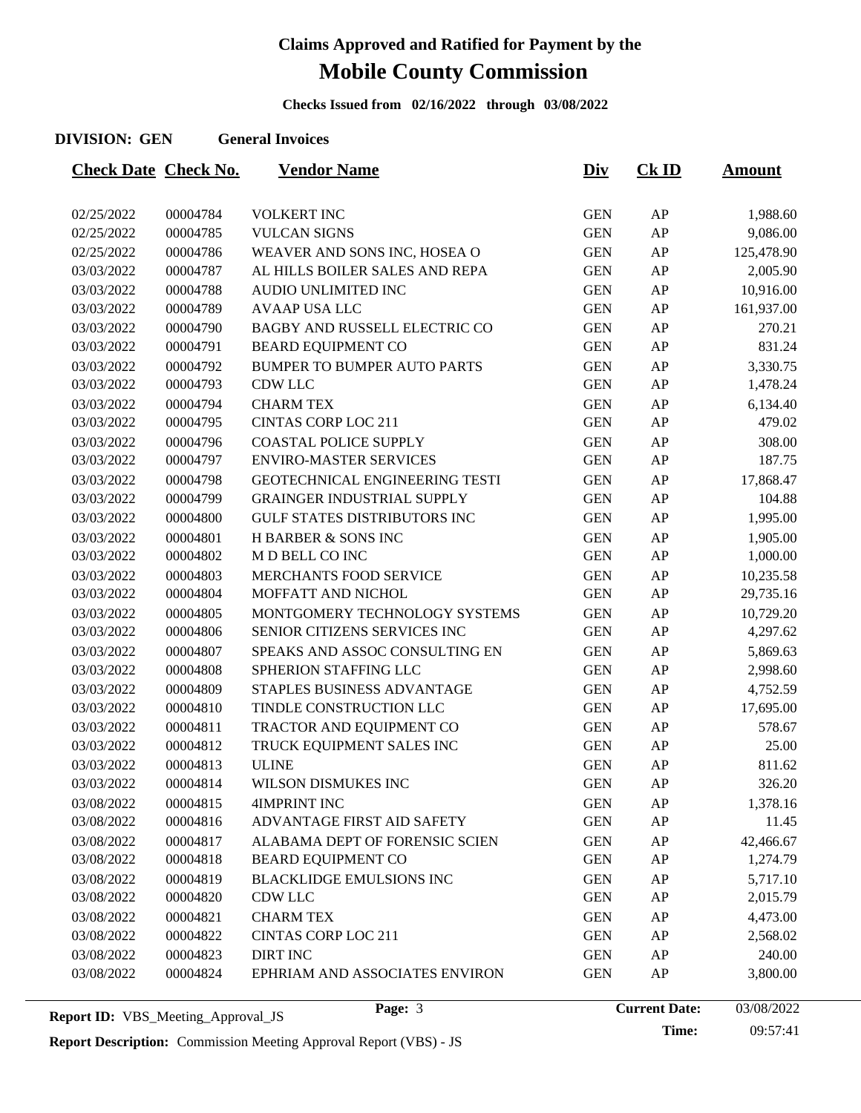**Checks Issued from 02/16/2022 through 03/08/2022**

#### **DIVISION: GEN General Invoices**

| <b>VOLKERT INC</b><br>02/25/2022<br>00004784<br><b>GEN</b><br>AP<br>1,988.60<br>AP<br>02/25/2022<br>00004785<br><b>VULCAN SIGNS</b><br><b>GEN</b><br>9,086.00<br>125,478.90<br>02/25/2022<br>00004786<br>WEAVER AND SONS INC, HOSEA O<br><b>GEN</b><br>AP<br>03/03/2022<br>00004787<br>AL HILLS BOILER SALES AND REPA<br><b>GEN</b><br>AP<br>2,005.90<br>AP<br>03/03/2022<br>00004788<br>AUDIO UNLIMITED INC<br><b>GEN</b><br>10,916.00<br>00004789<br><b>AVAAP USA LLC</b><br><b>GEN</b><br>AP<br>161,937.00<br>03/03/2022<br>03/03/2022<br>00004790<br>BAGBY AND RUSSELL ELECTRIC CO<br><b>GEN</b><br>AP<br>270.21<br>831.24<br>03/03/2022<br>00004791<br><b>BEARD EQUIPMENT CO</b><br><b>GEN</b><br>AP<br><b>GEN</b><br>AP<br>3,330.75<br>03/03/2022<br>00004792<br><b>BUMPER TO BUMPER AUTO PARTS</b><br>00004793<br><b>CDW LLC</b><br><b>GEN</b><br>AP<br>1,478.24<br>03/03/2022<br>03/03/2022<br>00004794<br><b>CHARM TEX</b><br><b>GEN</b><br>AP<br>6,134.40<br>03/03/2022<br>00004795<br><b>CINTAS CORP LOC 211</b><br><b>GEN</b><br>AP<br>479.02<br><b>COASTAL POLICE SUPPLY</b><br><b>GEN</b><br>AP<br>308.00<br>03/03/2022<br>00004796<br>00004797<br><b>ENVIRO-MASTER SERVICES</b><br><b>GEN</b><br>AP<br>187.75<br>03/03/2022<br>03/03/2022<br>00004798<br>GEOTECHNICAL ENGINEERING TESTI<br><b>GEN</b><br>AP<br>17,868.47<br><b>GRAINGER INDUSTRIAL SUPPLY</b><br><b>GEN</b><br>AP<br>03/03/2022<br>00004799<br>104.88<br><b>GULF STATES DISTRIBUTORS INC</b><br><b>GEN</b><br>AP<br>03/03/2022<br>00004800<br>1,995.00<br>AP<br>03/03/2022<br>00004801<br><b>H BARBER &amp; SONS INC</b><br><b>GEN</b><br>1,905.00<br>M D BELL CO INC<br>00004802<br><b>GEN</b><br>AP<br>1,000.00<br>03/03/2022<br>MERCHANTS FOOD SERVICE<br><b>GEN</b><br>03/03/2022<br>00004803<br>AP<br>10,235.58<br>AP<br>03/03/2022<br>00004804<br>MOFFATT AND NICHOL<br><b>GEN</b><br>29,735.16<br>00004805<br>MONTGOMERY TECHNOLOGY SYSTEMS<br><b>GEN</b><br>AP<br>10,729.20<br>03/03/2022<br>00004806<br>SENIOR CITIZENS SERVICES INC<br><b>GEN</b><br>AP<br>4,297.62<br>03/03/2022<br>SPEAKS AND ASSOC CONSULTING EN<br><b>GEN</b><br>AP<br>03/03/2022<br>00004807<br>5,869.63<br><b>GEN</b><br>AP<br>03/03/2022<br>00004808<br>SPHERION STAFFING LLC<br>2,998.60<br>4,752.59<br>00004809<br>STAPLES BUSINESS ADVANTAGE<br><b>GEN</b><br>AP<br>03/03/2022<br>00004810<br>TINDLE CONSTRUCTION LLC<br><b>GEN</b><br>AP<br>17,695.00<br>03/03/2022<br>03/03/2022<br>00004811<br>TRACTOR AND EQUIPMENT CO<br><b>GEN</b><br>AP<br>578.67<br>00004812<br>TRUCK EQUIPMENT SALES INC<br><b>GEN</b><br>AP<br>25.00<br>03/03/2022<br>AP<br>03/03/2022<br>00004813<br><b>ULINE</b><br><b>GEN</b><br>811.62<br><b>GEN</b><br>AP<br>03/03/2022<br>00004814<br>326.20<br>WILSON DISMUKES INC<br><b>4IMPRINT INC</b><br><b>GEN</b><br>03/08/2022<br>00004815<br>AP<br>1,378.16<br><b>GEN</b><br>03/08/2022<br>00004816<br>ADVANTAGE FIRST AID SAFETY<br>AP<br>11.45<br>00004817<br>ALABAMA DEPT OF FORENSIC SCIEN<br>AP<br>03/08/2022<br><b>GEN</b><br>42,466.67<br>00004818<br><b>GEN</b><br>03/08/2022<br><b>BEARD EQUIPMENT CO</b><br>AP<br>1,274.79<br>00004819<br><b>BLACKLIDGE EMULSIONS INC</b><br><b>GEN</b><br>AP<br>5,717.10<br>03/08/2022<br>00004820<br><b>CDW LLC</b><br><b>GEN</b><br>AP<br>03/08/2022<br>2,015.79<br>00004821<br><b>CHARM TEX</b><br><b>GEN</b><br>AP<br>03/08/2022<br>4,473.00<br>00004822<br><b>CINTAS CORP LOC 211</b><br><b>GEN</b><br>03/08/2022<br>AP<br>2,568.02 | <b>Check Date Check No.</b> |          | <b>Vendor Name</b> | <u>Div</u> | <b>Ck ID</b> | <b>Amount</b> |
|---------------------------------------------------------------------------------------------------------------------------------------------------------------------------------------------------------------------------------------------------------------------------------------------------------------------------------------------------------------------------------------------------------------------------------------------------------------------------------------------------------------------------------------------------------------------------------------------------------------------------------------------------------------------------------------------------------------------------------------------------------------------------------------------------------------------------------------------------------------------------------------------------------------------------------------------------------------------------------------------------------------------------------------------------------------------------------------------------------------------------------------------------------------------------------------------------------------------------------------------------------------------------------------------------------------------------------------------------------------------------------------------------------------------------------------------------------------------------------------------------------------------------------------------------------------------------------------------------------------------------------------------------------------------------------------------------------------------------------------------------------------------------------------------------------------------------------------------------------------------------------------------------------------------------------------------------------------------------------------------------------------------------------------------------------------------------------------------------------------------------------------------------------------------------------------------------------------------------------------------------------------------------------------------------------------------------------------------------------------------------------------------------------------------------------------------------------------------------------------------------------------------------------------------------------------------------------------------------------------------------------------------------------------------------------------------------------------------------------------------------------------------------------------------------------------------------------------------------------------------------------------------------------------------------------------------------------------------------------------------------------------------------------------------------------------------------------------------------------------------------------------------------------------------------------------------------------------------------------------------------------------------------------------------------------------------------------------------------------------------------------------------------------------------------------------------------------------------------------|-----------------------------|----------|--------------------|------------|--------------|---------------|
|                                                                                                                                                                                                                                                                                                                                                                                                                                                                                                                                                                                                                                                                                                                                                                                                                                                                                                                                                                                                                                                                                                                                                                                                                                                                                                                                                                                                                                                                                                                                                                                                                                                                                                                                                                                                                                                                                                                                                                                                                                                                                                                                                                                                                                                                                                                                                                                                                                                                                                                                                                                                                                                                                                                                                                                                                                                                                                                                                                                                                                                                                                                                                                                                                                                                                                                                                                                                                                                                                 |                             |          |                    |            |              |               |
|                                                                                                                                                                                                                                                                                                                                                                                                                                                                                                                                                                                                                                                                                                                                                                                                                                                                                                                                                                                                                                                                                                                                                                                                                                                                                                                                                                                                                                                                                                                                                                                                                                                                                                                                                                                                                                                                                                                                                                                                                                                                                                                                                                                                                                                                                                                                                                                                                                                                                                                                                                                                                                                                                                                                                                                                                                                                                                                                                                                                                                                                                                                                                                                                                                                                                                                                                                                                                                                                                 |                             |          |                    |            |              |               |
|                                                                                                                                                                                                                                                                                                                                                                                                                                                                                                                                                                                                                                                                                                                                                                                                                                                                                                                                                                                                                                                                                                                                                                                                                                                                                                                                                                                                                                                                                                                                                                                                                                                                                                                                                                                                                                                                                                                                                                                                                                                                                                                                                                                                                                                                                                                                                                                                                                                                                                                                                                                                                                                                                                                                                                                                                                                                                                                                                                                                                                                                                                                                                                                                                                                                                                                                                                                                                                                                                 |                             |          |                    |            |              |               |
|                                                                                                                                                                                                                                                                                                                                                                                                                                                                                                                                                                                                                                                                                                                                                                                                                                                                                                                                                                                                                                                                                                                                                                                                                                                                                                                                                                                                                                                                                                                                                                                                                                                                                                                                                                                                                                                                                                                                                                                                                                                                                                                                                                                                                                                                                                                                                                                                                                                                                                                                                                                                                                                                                                                                                                                                                                                                                                                                                                                                                                                                                                                                                                                                                                                                                                                                                                                                                                                                                 |                             |          |                    |            |              |               |
|                                                                                                                                                                                                                                                                                                                                                                                                                                                                                                                                                                                                                                                                                                                                                                                                                                                                                                                                                                                                                                                                                                                                                                                                                                                                                                                                                                                                                                                                                                                                                                                                                                                                                                                                                                                                                                                                                                                                                                                                                                                                                                                                                                                                                                                                                                                                                                                                                                                                                                                                                                                                                                                                                                                                                                                                                                                                                                                                                                                                                                                                                                                                                                                                                                                                                                                                                                                                                                                                                 |                             |          |                    |            |              |               |
|                                                                                                                                                                                                                                                                                                                                                                                                                                                                                                                                                                                                                                                                                                                                                                                                                                                                                                                                                                                                                                                                                                                                                                                                                                                                                                                                                                                                                                                                                                                                                                                                                                                                                                                                                                                                                                                                                                                                                                                                                                                                                                                                                                                                                                                                                                                                                                                                                                                                                                                                                                                                                                                                                                                                                                                                                                                                                                                                                                                                                                                                                                                                                                                                                                                                                                                                                                                                                                                                                 |                             |          |                    |            |              |               |
|                                                                                                                                                                                                                                                                                                                                                                                                                                                                                                                                                                                                                                                                                                                                                                                                                                                                                                                                                                                                                                                                                                                                                                                                                                                                                                                                                                                                                                                                                                                                                                                                                                                                                                                                                                                                                                                                                                                                                                                                                                                                                                                                                                                                                                                                                                                                                                                                                                                                                                                                                                                                                                                                                                                                                                                                                                                                                                                                                                                                                                                                                                                                                                                                                                                                                                                                                                                                                                                                                 |                             |          |                    |            |              |               |
|                                                                                                                                                                                                                                                                                                                                                                                                                                                                                                                                                                                                                                                                                                                                                                                                                                                                                                                                                                                                                                                                                                                                                                                                                                                                                                                                                                                                                                                                                                                                                                                                                                                                                                                                                                                                                                                                                                                                                                                                                                                                                                                                                                                                                                                                                                                                                                                                                                                                                                                                                                                                                                                                                                                                                                                                                                                                                                                                                                                                                                                                                                                                                                                                                                                                                                                                                                                                                                                                                 |                             |          |                    |            |              |               |
|                                                                                                                                                                                                                                                                                                                                                                                                                                                                                                                                                                                                                                                                                                                                                                                                                                                                                                                                                                                                                                                                                                                                                                                                                                                                                                                                                                                                                                                                                                                                                                                                                                                                                                                                                                                                                                                                                                                                                                                                                                                                                                                                                                                                                                                                                                                                                                                                                                                                                                                                                                                                                                                                                                                                                                                                                                                                                                                                                                                                                                                                                                                                                                                                                                                                                                                                                                                                                                                                                 |                             |          |                    |            |              |               |
|                                                                                                                                                                                                                                                                                                                                                                                                                                                                                                                                                                                                                                                                                                                                                                                                                                                                                                                                                                                                                                                                                                                                                                                                                                                                                                                                                                                                                                                                                                                                                                                                                                                                                                                                                                                                                                                                                                                                                                                                                                                                                                                                                                                                                                                                                                                                                                                                                                                                                                                                                                                                                                                                                                                                                                                                                                                                                                                                                                                                                                                                                                                                                                                                                                                                                                                                                                                                                                                                                 |                             |          |                    |            |              |               |
|                                                                                                                                                                                                                                                                                                                                                                                                                                                                                                                                                                                                                                                                                                                                                                                                                                                                                                                                                                                                                                                                                                                                                                                                                                                                                                                                                                                                                                                                                                                                                                                                                                                                                                                                                                                                                                                                                                                                                                                                                                                                                                                                                                                                                                                                                                                                                                                                                                                                                                                                                                                                                                                                                                                                                                                                                                                                                                                                                                                                                                                                                                                                                                                                                                                                                                                                                                                                                                                                                 |                             |          |                    |            |              |               |
|                                                                                                                                                                                                                                                                                                                                                                                                                                                                                                                                                                                                                                                                                                                                                                                                                                                                                                                                                                                                                                                                                                                                                                                                                                                                                                                                                                                                                                                                                                                                                                                                                                                                                                                                                                                                                                                                                                                                                                                                                                                                                                                                                                                                                                                                                                                                                                                                                                                                                                                                                                                                                                                                                                                                                                                                                                                                                                                                                                                                                                                                                                                                                                                                                                                                                                                                                                                                                                                                                 |                             |          |                    |            |              |               |
|                                                                                                                                                                                                                                                                                                                                                                                                                                                                                                                                                                                                                                                                                                                                                                                                                                                                                                                                                                                                                                                                                                                                                                                                                                                                                                                                                                                                                                                                                                                                                                                                                                                                                                                                                                                                                                                                                                                                                                                                                                                                                                                                                                                                                                                                                                                                                                                                                                                                                                                                                                                                                                                                                                                                                                                                                                                                                                                                                                                                                                                                                                                                                                                                                                                                                                                                                                                                                                                                                 |                             |          |                    |            |              |               |
|                                                                                                                                                                                                                                                                                                                                                                                                                                                                                                                                                                                                                                                                                                                                                                                                                                                                                                                                                                                                                                                                                                                                                                                                                                                                                                                                                                                                                                                                                                                                                                                                                                                                                                                                                                                                                                                                                                                                                                                                                                                                                                                                                                                                                                                                                                                                                                                                                                                                                                                                                                                                                                                                                                                                                                                                                                                                                                                                                                                                                                                                                                                                                                                                                                                                                                                                                                                                                                                                                 |                             |          |                    |            |              |               |
|                                                                                                                                                                                                                                                                                                                                                                                                                                                                                                                                                                                                                                                                                                                                                                                                                                                                                                                                                                                                                                                                                                                                                                                                                                                                                                                                                                                                                                                                                                                                                                                                                                                                                                                                                                                                                                                                                                                                                                                                                                                                                                                                                                                                                                                                                                                                                                                                                                                                                                                                                                                                                                                                                                                                                                                                                                                                                                                                                                                                                                                                                                                                                                                                                                                                                                                                                                                                                                                                                 |                             |          |                    |            |              |               |
|                                                                                                                                                                                                                                                                                                                                                                                                                                                                                                                                                                                                                                                                                                                                                                                                                                                                                                                                                                                                                                                                                                                                                                                                                                                                                                                                                                                                                                                                                                                                                                                                                                                                                                                                                                                                                                                                                                                                                                                                                                                                                                                                                                                                                                                                                                                                                                                                                                                                                                                                                                                                                                                                                                                                                                                                                                                                                                                                                                                                                                                                                                                                                                                                                                                                                                                                                                                                                                                                                 |                             |          |                    |            |              |               |
|                                                                                                                                                                                                                                                                                                                                                                                                                                                                                                                                                                                                                                                                                                                                                                                                                                                                                                                                                                                                                                                                                                                                                                                                                                                                                                                                                                                                                                                                                                                                                                                                                                                                                                                                                                                                                                                                                                                                                                                                                                                                                                                                                                                                                                                                                                                                                                                                                                                                                                                                                                                                                                                                                                                                                                                                                                                                                                                                                                                                                                                                                                                                                                                                                                                                                                                                                                                                                                                                                 |                             |          |                    |            |              |               |
|                                                                                                                                                                                                                                                                                                                                                                                                                                                                                                                                                                                                                                                                                                                                                                                                                                                                                                                                                                                                                                                                                                                                                                                                                                                                                                                                                                                                                                                                                                                                                                                                                                                                                                                                                                                                                                                                                                                                                                                                                                                                                                                                                                                                                                                                                                                                                                                                                                                                                                                                                                                                                                                                                                                                                                                                                                                                                                                                                                                                                                                                                                                                                                                                                                                                                                                                                                                                                                                                                 |                             |          |                    |            |              |               |
|                                                                                                                                                                                                                                                                                                                                                                                                                                                                                                                                                                                                                                                                                                                                                                                                                                                                                                                                                                                                                                                                                                                                                                                                                                                                                                                                                                                                                                                                                                                                                                                                                                                                                                                                                                                                                                                                                                                                                                                                                                                                                                                                                                                                                                                                                                                                                                                                                                                                                                                                                                                                                                                                                                                                                                                                                                                                                                                                                                                                                                                                                                                                                                                                                                                                                                                                                                                                                                                                                 |                             |          |                    |            |              |               |
|                                                                                                                                                                                                                                                                                                                                                                                                                                                                                                                                                                                                                                                                                                                                                                                                                                                                                                                                                                                                                                                                                                                                                                                                                                                                                                                                                                                                                                                                                                                                                                                                                                                                                                                                                                                                                                                                                                                                                                                                                                                                                                                                                                                                                                                                                                                                                                                                                                                                                                                                                                                                                                                                                                                                                                                                                                                                                                                                                                                                                                                                                                                                                                                                                                                                                                                                                                                                                                                                                 |                             |          |                    |            |              |               |
|                                                                                                                                                                                                                                                                                                                                                                                                                                                                                                                                                                                                                                                                                                                                                                                                                                                                                                                                                                                                                                                                                                                                                                                                                                                                                                                                                                                                                                                                                                                                                                                                                                                                                                                                                                                                                                                                                                                                                                                                                                                                                                                                                                                                                                                                                                                                                                                                                                                                                                                                                                                                                                                                                                                                                                                                                                                                                                                                                                                                                                                                                                                                                                                                                                                                                                                                                                                                                                                                                 |                             |          |                    |            |              |               |
|                                                                                                                                                                                                                                                                                                                                                                                                                                                                                                                                                                                                                                                                                                                                                                                                                                                                                                                                                                                                                                                                                                                                                                                                                                                                                                                                                                                                                                                                                                                                                                                                                                                                                                                                                                                                                                                                                                                                                                                                                                                                                                                                                                                                                                                                                                                                                                                                                                                                                                                                                                                                                                                                                                                                                                                                                                                                                                                                                                                                                                                                                                                                                                                                                                                                                                                                                                                                                                                                                 |                             |          |                    |            |              |               |
|                                                                                                                                                                                                                                                                                                                                                                                                                                                                                                                                                                                                                                                                                                                                                                                                                                                                                                                                                                                                                                                                                                                                                                                                                                                                                                                                                                                                                                                                                                                                                                                                                                                                                                                                                                                                                                                                                                                                                                                                                                                                                                                                                                                                                                                                                                                                                                                                                                                                                                                                                                                                                                                                                                                                                                                                                                                                                                                                                                                                                                                                                                                                                                                                                                                                                                                                                                                                                                                                                 |                             |          |                    |            |              |               |
|                                                                                                                                                                                                                                                                                                                                                                                                                                                                                                                                                                                                                                                                                                                                                                                                                                                                                                                                                                                                                                                                                                                                                                                                                                                                                                                                                                                                                                                                                                                                                                                                                                                                                                                                                                                                                                                                                                                                                                                                                                                                                                                                                                                                                                                                                                                                                                                                                                                                                                                                                                                                                                                                                                                                                                                                                                                                                                                                                                                                                                                                                                                                                                                                                                                                                                                                                                                                                                                                                 |                             |          |                    |            |              |               |
|                                                                                                                                                                                                                                                                                                                                                                                                                                                                                                                                                                                                                                                                                                                                                                                                                                                                                                                                                                                                                                                                                                                                                                                                                                                                                                                                                                                                                                                                                                                                                                                                                                                                                                                                                                                                                                                                                                                                                                                                                                                                                                                                                                                                                                                                                                                                                                                                                                                                                                                                                                                                                                                                                                                                                                                                                                                                                                                                                                                                                                                                                                                                                                                                                                                                                                                                                                                                                                                                                 |                             |          |                    |            |              |               |
|                                                                                                                                                                                                                                                                                                                                                                                                                                                                                                                                                                                                                                                                                                                                                                                                                                                                                                                                                                                                                                                                                                                                                                                                                                                                                                                                                                                                                                                                                                                                                                                                                                                                                                                                                                                                                                                                                                                                                                                                                                                                                                                                                                                                                                                                                                                                                                                                                                                                                                                                                                                                                                                                                                                                                                                                                                                                                                                                                                                                                                                                                                                                                                                                                                                                                                                                                                                                                                                                                 |                             |          |                    |            |              |               |
|                                                                                                                                                                                                                                                                                                                                                                                                                                                                                                                                                                                                                                                                                                                                                                                                                                                                                                                                                                                                                                                                                                                                                                                                                                                                                                                                                                                                                                                                                                                                                                                                                                                                                                                                                                                                                                                                                                                                                                                                                                                                                                                                                                                                                                                                                                                                                                                                                                                                                                                                                                                                                                                                                                                                                                                                                                                                                                                                                                                                                                                                                                                                                                                                                                                                                                                                                                                                                                                                                 |                             |          |                    |            |              |               |
|                                                                                                                                                                                                                                                                                                                                                                                                                                                                                                                                                                                                                                                                                                                                                                                                                                                                                                                                                                                                                                                                                                                                                                                                                                                                                                                                                                                                                                                                                                                                                                                                                                                                                                                                                                                                                                                                                                                                                                                                                                                                                                                                                                                                                                                                                                                                                                                                                                                                                                                                                                                                                                                                                                                                                                                                                                                                                                                                                                                                                                                                                                                                                                                                                                                                                                                                                                                                                                                                                 |                             |          |                    |            |              |               |
|                                                                                                                                                                                                                                                                                                                                                                                                                                                                                                                                                                                                                                                                                                                                                                                                                                                                                                                                                                                                                                                                                                                                                                                                                                                                                                                                                                                                                                                                                                                                                                                                                                                                                                                                                                                                                                                                                                                                                                                                                                                                                                                                                                                                                                                                                                                                                                                                                                                                                                                                                                                                                                                                                                                                                                                                                                                                                                                                                                                                                                                                                                                                                                                                                                                                                                                                                                                                                                                                                 |                             |          |                    |            |              |               |
|                                                                                                                                                                                                                                                                                                                                                                                                                                                                                                                                                                                                                                                                                                                                                                                                                                                                                                                                                                                                                                                                                                                                                                                                                                                                                                                                                                                                                                                                                                                                                                                                                                                                                                                                                                                                                                                                                                                                                                                                                                                                                                                                                                                                                                                                                                                                                                                                                                                                                                                                                                                                                                                                                                                                                                                                                                                                                                                                                                                                                                                                                                                                                                                                                                                                                                                                                                                                                                                                                 |                             |          |                    |            |              |               |
|                                                                                                                                                                                                                                                                                                                                                                                                                                                                                                                                                                                                                                                                                                                                                                                                                                                                                                                                                                                                                                                                                                                                                                                                                                                                                                                                                                                                                                                                                                                                                                                                                                                                                                                                                                                                                                                                                                                                                                                                                                                                                                                                                                                                                                                                                                                                                                                                                                                                                                                                                                                                                                                                                                                                                                                                                                                                                                                                                                                                                                                                                                                                                                                                                                                                                                                                                                                                                                                                                 |                             |          |                    |            |              |               |
|                                                                                                                                                                                                                                                                                                                                                                                                                                                                                                                                                                                                                                                                                                                                                                                                                                                                                                                                                                                                                                                                                                                                                                                                                                                                                                                                                                                                                                                                                                                                                                                                                                                                                                                                                                                                                                                                                                                                                                                                                                                                                                                                                                                                                                                                                                                                                                                                                                                                                                                                                                                                                                                                                                                                                                                                                                                                                                                                                                                                                                                                                                                                                                                                                                                                                                                                                                                                                                                                                 |                             |          |                    |            |              |               |
|                                                                                                                                                                                                                                                                                                                                                                                                                                                                                                                                                                                                                                                                                                                                                                                                                                                                                                                                                                                                                                                                                                                                                                                                                                                                                                                                                                                                                                                                                                                                                                                                                                                                                                                                                                                                                                                                                                                                                                                                                                                                                                                                                                                                                                                                                                                                                                                                                                                                                                                                                                                                                                                                                                                                                                                                                                                                                                                                                                                                                                                                                                                                                                                                                                                                                                                                                                                                                                                                                 |                             |          |                    |            |              |               |
|                                                                                                                                                                                                                                                                                                                                                                                                                                                                                                                                                                                                                                                                                                                                                                                                                                                                                                                                                                                                                                                                                                                                                                                                                                                                                                                                                                                                                                                                                                                                                                                                                                                                                                                                                                                                                                                                                                                                                                                                                                                                                                                                                                                                                                                                                                                                                                                                                                                                                                                                                                                                                                                                                                                                                                                                                                                                                                                                                                                                                                                                                                                                                                                                                                                                                                                                                                                                                                                                                 |                             |          |                    |            |              |               |
|                                                                                                                                                                                                                                                                                                                                                                                                                                                                                                                                                                                                                                                                                                                                                                                                                                                                                                                                                                                                                                                                                                                                                                                                                                                                                                                                                                                                                                                                                                                                                                                                                                                                                                                                                                                                                                                                                                                                                                                                                                                                                                                                                                                                                                                                                                                                                                                                                                                                                                                                                                                                                                                                                                                                                                                                                                                                                                                                                                                                                                                                                                                                                                                                                                                                                                                                                                                                                                                                                 |                             |          |                    |            |              |               |
|                                                                                                                                                                                                                                                                                                                                                                                                                                                                                                                                                                                                                                                                                                                                                                                                                                                                                                                                                                                                                                                                                                                                                                                                                                                                                                                                                                                                                                                                                                                                                                                                                                                                                                                                                                                                                                                                                                                                                                                                                                                                                                                                                                                                                                                                                                                                                                                                                                                                                                                                                                                                                                                                                                                                                                                                                                                                                                                                                                                                                                                                                                                                                                                                                                                                                                                                                                                                                                                                                 |                             |          |                    |            |              |               |
|                                                                                                                                                                                                                                                                                                                                                                                                                                                                                                                                                                                                                                                                                                                                                                                                                                                                                                                                                                                                                                                                                                                                                                                                                                                                                                                                                                                                                                                                                                                                                                                                                                                                                                                                                                                                                                                                                                                                                                                                                                                                                                                                                                                                                                                                                                                                                                                                                                                                                                                                                                                                                                                                                                                                                                                                                                                                                                                                                                                                                                                                                                                                                                                                                                                                                                                                                                                                                                                                                 |                             |          |                    |            |              |               |
|                                                                                                                                                                                                                                                                                                                                                                                                                                                                                                                                                                                                                                                                                                                                                                                                                                                                                                                                                                                                                                                                                                                                                                                                                                                                                                                                                                                                                                                                                                                                                                                                                                                                                                                                                                                                                                                                                                                                                                                                                                                                                                                                                                                                                                                                                                                                                                                                                                                                                                                                                                                                                                                                                                                                                                                                                                                                                                                                                                                                                                                                                                                                                                                                                                                                                                                                                                                                                                                                                 |                             |          |                    |            |              |               |
|                                                                                                                                                                                                                                                                                                                                                                                                                                                                                                                                                                                                                                                                                                                                                                                                                                                                                                                                                                                                                                                                                                                                                                                                                                                                                                                                                                                                                                                                                                                                                                                                                                                                                                                                                                                                                                                                                                                                                                                                                                                                                                                                                                                                                                                                                                                                                                                                                                                                                                                                                                                                                                                                                                                                                                                                                                                                                                                                                                                                                                                                                                                                                                                                                                                                                                                                                                                                                                                                                 |                             |          |                    |            |              |               |
|                                                                                                                                                                                                                                                                                                                                                                                                                                                                                                                                                                                                                                                                                                                                                                                                                                                                                                                                                                                                                                                                                                                                                                                                                                                                                                                                                                                                                                                                                                                                                                                                                                                                                                                                                                                                                                                                                                                                                                                                                                                                                                                                                                                                                                                                                                                                                                                                                                                                                                                                                                                                                                                                                                                                                                                                                                                                                                                                                                                                                                                                                                                                                                                                                                                                                                                                                                                                                                                                                 |                             |          |                    |            |              |               |
|                                                                                                                                                                                                                                                                                                                                                                                                                                                                                                                                                                                                                                                                                                                                                                                                                                                                                                                                                                                                                                                                                                                                                                                                                                                                                                                                                                                                                                                                                                                                                                                                                                                                                                                                                                                                                                                                                                                                                                                                                                                                                                                                                                                                                                                                                                                                                                                                                                                                                                                                                                                                                                                                                                                                                                                                                                                                                                                                                                                                                                                                                                                                                                                                                                                                                                                                                                                                                                                                                 | 03/08/2022                  | 00004823 | <b>DIRT INC</b>    | <b>GEN</b> | AP           | 240.00        |
| 3,800.00<br>03/08/2022<br>00004824<br>EPHRIAM AND ASSOCIATES ENVIRON<br><b>GEN</b><br>AP                                                                                                                                                                                                                                                                                                                                                                                                                                                                                                                                                                                                                                                                                                                                                                                                                                                                                                                                                                                                                                                                                                                                                                                                                                                                                                                                                                                                                                                                                                                                                                                                                                                                                                                                                                                                                                                                                                                                                                                                                                                                                                                                                                                                                                                                                                                                                                                                                                                                                                                                                                                                                                                                                                                                                                                                                                                                                                                                                                                                                                                                                                                                                                                                                                                                                                                                                                                        |                             |          |                    |            |              |               |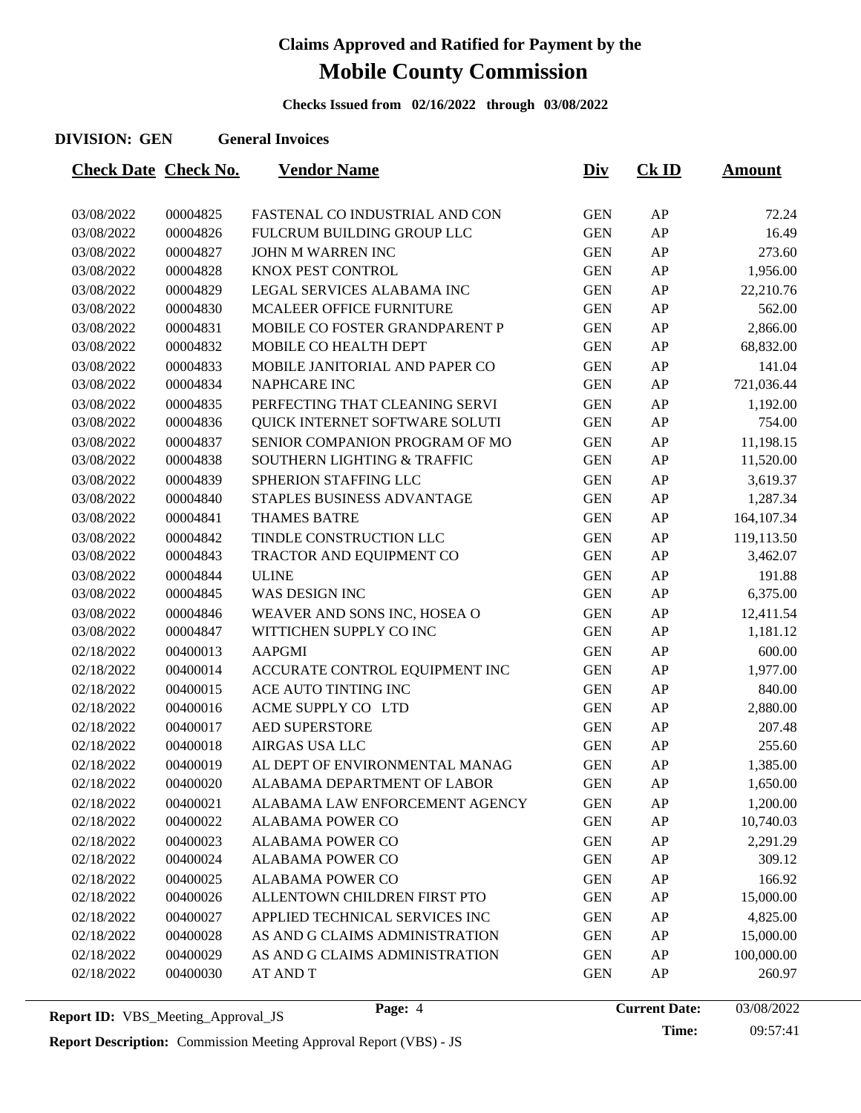**Checks Issued from 02/16/2022 through 03/08/2022**

#### **DIVISION: GEN General Invoices**

| <b>Check Date Check No.</b> |          | <b>Vendor Name</b>             | <u>Div</u> | $CK$ ID | <u>Amount</u> |
|-----------------------------|----------|--------------------------------|------------|---------|---------------|
|                             |          |                                |            |         |               |
| 03/08/2022                  | 00004825 | FASTENAL CO INDUSTRIAL AND CON | <b>GEN</b> | AP      | 72.24         |
| 03/08/2022                  | 00004826 | FULCRUM BUILDING GROUP LLC     | <b>GEN</b> | AP      | 16.49         |
| 03/08/2022                  | 00004827 | JOHN M WARREN INC              | <b>GEN</b> | AP      | 273.60        |
| 03/08/2022                  | 00004828 | KNOX PEST CONTROL              | <b>GEN</b> | AP      | 1,956.00      |
| 03/08/2022                  | 00004829 | LEGAL SERVICES ALABAMA INC     | <b>GEN</b> | AP      | 22,210.76     |
| 03/08/2022                  | 00004830 | MCALEER OFFICE FURNITURE       | <b>GEN</b> | AP      | 562.00        |
| 03/08/2022                  | 00004831 | MOBILE CO FOSTER GRANDPARENT P | <b>GEN</b> | AP      | 2,866.00      |
| 03/08/2022                  | 00004832 | MOBILE CO HEALTH DEPT          | <b>GEN</b> | AP      | 68,832.00     |
| 03/08/2022                  | 00004833 | MOBILE JANITORIAL AND PAPER CO | <b>GEN</b> | AP      | 141.04        |
| 03/08/2022                  | 00004834 | NAPHCARE INC                   | <b>GEN</b> | AP      | 721,036.44    |
| 03/08/2022                  | 00004835 | PERFECTING THAT CLEANING SERVI | <b>GEN</b> | AP      | 1,192.00      |
| 03/08/2022                  | 00004836 | QUICK INTERNET SOFTWARE SOLUTI | <b>GEN</b> | AP      | 754.00        |
| 03/08/2022                  | 00004837 | SENIOR COMPANION PROGRAM OF MO | <b>GEN</b> | AP      | 11,198.15     |
| 03/08/2022                  | 00004838 | SOUTHERN LIGHTING & TRAFFIC    | <b>GEN</b> | AP      | 11,520.00     |
| 03/08/2022                  | 00004839 | SPHERION STAFFING LLC          | <b>GEN</b> | AP      | 3,619.37      |
| 03/08/2022                  | 00004840 | STAPLES BUSINESS ADVANTAGE     | <b>GEN</b> | AP      | 1,287.34      |
| 03/08/2022                  | 00004841 | <b>THAMES BATRE</b>            | <b>GEN</b> | AP      | 164,107.34    |
| 03/08/2022                  | 00004842 | TINDLE CONSTRUCTION LLC        | <b>GEN</b> | AP      | 119,113.50    |
| 03/08/2022                  | 00004843 | TRACTOR AND EQUIPMENT CO       | <b>GEN</b> | AP      | 3,462.07      |
| 03/08/2022                  | 00004844 | <b>ULINE</b>                   | <b>GEN</b> | AP      | 191.88        |
| 03/08/2022                  | 00004845 | WAS DESIGN INC                 | <b>GEN</b> | AP      | 6,375.00      |
| 03/08/2022                  | 00004846 | WEAVER AND SONS INC, HOSEA O   | <b>GEN</b> | AP      | 12,411.54     |
| 03/08/2022                  | 00004847 | WITTICHEN SUPPLY CO INC        | <b>GEN</b> | AP      | 1,181.12      |
| 02/18/2022                  | 00400013 | <b>AAPGMI</b>                  | <b>GEN</b> | AP      | 600.00        |
| 02/18/2022                  | 00400014 | ACCURATE CONTROL EQUIPMENT INC | <b>GEN</b> | AP      | 1,977.00      |
| 02/18/2022                  | 00400015 | ACE AUTO TINTING INC           | <b>GEN</b> | AP      | 840.00        |
| 02/18/2022                  | 00400016 | ACME SUPPLY CO LTD             | <b>GEN</b> | AP      | 2,880.00      |
| 02/18/2022                  | 00400017 | <b>AED SUPERSTORE</b>          | <b>GEN</b> | AP      | 207.48        |
| 02/18/2022                  | 00400018 | AIRGAS USA LLC                 | <b>GEN</b> | AP      | 255.60        |
| 02/18/2022                  | 00400019 | AL DEPT OF ENVIRONMENTAL MANAG | <b>GEN</b> | AP      | 1,385.00      |
| 02/18/2022                  | 00400020 | ALABAMA DEPARTMENT OF LABOR    | <b>GEN</b> | AP      | 1,650.00      |
| 02/18/2022                  | 00400021 | ALABAMA LAW ENFORCEMENT AGENCY | <b>GEN</b> | AP      | 1,200.00      |
| 02/18/2022                  | 00400022 | <b>ALABAMA POWER CO</b>        | <b>GEN</b> | AP      | 10,740.03     |
| 02/18/2022                  | 00400023 | <b>ALABAMA POWER CO</b>        | <b>GEN</b> | AP      | 2,291.29      |
| 02/18/2022                  | 00400024 | <b>ALABAMA POWER CO</b>        | <b>GEN</b> | AP      | 309.12        |
| 02/18/2022                  | 00400025 | <b>ALABAMA POWER CO</b>        | <b>GEN</b> | AP      | 166.92        |
| 02/18/2022                  | 00400026 | ALLENTOWN CHILDREN FIRST PTO   | <b>GEN</b> | AP      | 15,000.00     |
| 02/18/2022                  | 00400027 | APPLIED TECHNICAL SERVICES INC | <b>GEN</b> | AP      | 4,825.00      |
| 02/18/2022                  | 00400028 | AS AND G CLAIMS ADMINISTRATION | <b>GEN</b> | AP      | 15,000.00     |
| 02/18/2022                  | 00400029 | AS AND G CLAIMS ADMINISTRATION | <b>GEN</b> | AP      | 100,000.00    |
| 02/18/2022                  | 00400030 | <b>AT AND T</b>                | <b>GEN</b> | AP      | 260.97        |
|                             |          |                                |            |         |               |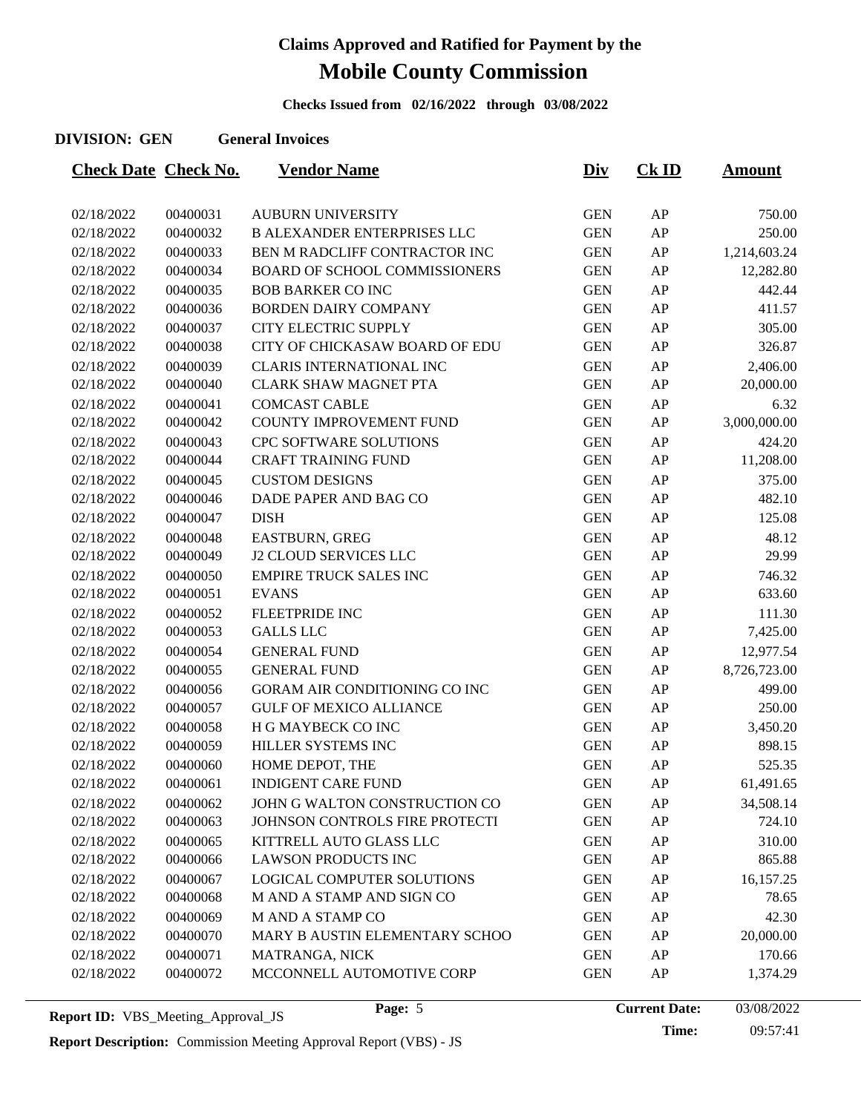**Checks Issued from 02/16/2022 through 03/08/2022**

#### **DIVISION: GEN General Invoices**

| <b>Check Date Check No.</b> |          | <b>Vendor Name</b>                   | <u>Div</u> | $CK$ ID    | <u>Amount</u> |
|-----------------------------|----------|--------------------------------------|------------|------------|---------------|
|                             |          |                                      |            |            |               |
| 02/18/2022                  | 00400031 | <b>AUBURN UNIVERSITY</b>             | <b>GEN</b> | AP         | 750.00        |
| 02/18/2022                  | 00400032 | <b>B ALEXANDER ENTERPRISES LLC</b>   | <b>GEN</b> | AP         | 250.00        |
| 02/18/2022                  | 00400033 | BEN M RADCLIFF CONTRACTOR INC        | <b>GEN</b> | AP         | 1,214,603.24  |
| 02/18/2022                  | 00400034 | <b>BOARD OF SCHOOL COMMISSIONERS</b> | <b>GEN</b> | AP         | 12,282.80     |
| 02/18/2022                  | 00400035 | <b>BOB BARKER CO INC</b>             | <b>GEN</b> | AP         | 442.44        |
| 02/18/2022                  | 00400036 | <b>BORDEN DAIRY COMPANY</b>          | <b>GEN</b> | AP         | 411.57        |
| 02/18/2022                  | 00400037 | CITY ELECTRIC SUPPLY                 | <b>GEN</b> | AP         | 305.00        |
| 02/18/2022                  | 00400038 | CITY OF CHICKASAW BOARD OF EDU       | <b>GEN</b> | AP         | 326.87        |
| 02/18/2022                  | 00400039 | <b>CLARIS INTERNATIONAL INC</b>      | <b>GEN</b> | AP         | 2,406.00      |
| 02/18/2022                  | 00400040 | <b>CLARK SHAW MAGNET PTA</b>         | <b>GEN</b> | AP         | 20,000.00     |
| 02/18/2022                  | 00400041 | <b>COMCAST CABLE</b>                 | <b>GEN</b> | AP         | 6.32          |
| 02/18/2022                  | 00400042 | COUNTY IMPROVEMENT FUND              | <b>GEN</b> | AP         | 3,000,000.00  |
| 02/18/2022                  | 00400043 | CPC SOFTWARE SOLUTIONS               | <b>GEN</b> | AP         | 424.20        |
| 02/18/2022                  | 00400044 | <b>CRAFT TRAINING FUND</b>           | <b>GEN</b> | AP         | 11,208.00     |
| 02/18/2022                  | 00400045 | <b>CUSTOM DESIGNS</b>                | <b>GEN</b> | AP         | 375.00        |
| 02/18/2022                  | 00400046 | DADE PAPER AND BAG CO                | <b>GEN</b> | AP         | 482.10        |
| 02/18/2022                  | 00400047 | <b>DISH</b>                          | <b>GEN</b> | AP         | 125.08        |
| 02/18/2022                  | 00400048 | EASTBURN, GREG                       | <b>GEN</b> | AP         | 48.12         |
| 02/18/2022                  | 00400049 | <b>J2 CLOUD SERVICES LLC</b>         | <b>GEN</b> | AP         | 29.99         |
| 02/18/2022                  | 00400050 | <b>EMPIRE TRUCK SALES INC</b>        | <b>GEN</b> | AP         | 746.32        |
| 02/18/2022                  | 00400051 | <b>EVANS</b>                         | <b>GEN</b> | AP         | 633.60        |
| 02/18/2022                  | 00400052 | <b>FLEETPRIDE INC</b>                | <b>GEN</b> | AP         | 111.30        |
| 02/18/2022                  | 00400053 | <b>GALLS LLC</b>                     | <b>GEN</b> | AP         | 7,425.00      |
| 02/18/2022                  | 00400054 | <b>GENERAL FUND</b>                  | <b>GEN</b> | AP         | 12,977.54     |
| 02/18/2022                  | 00400055 | <b>GENERAL FUND</b>                  | <b>GEN</b> | AP         | 8,726,723.00  |
| 02/18/2022                  | 00400056 | <b>GORAM AIR CONDITIONING CO INC</b> | <b>GEN</b> | AP         | 499.00        |
| 02/18/2022                  | 00400057 | <b>GULF OF MEXICO ALLIANCE</b>       | <b>GEN</b> | AP         | 250.00        |
| 02/18/2022                  | 00400058 | H G MAYBECK CO INC                   | <b>GEN</b> | AP         | 3,450.20      |
| 02/18/2022                  | 00400059 | HILLER SYSTEMS INC                   | <b>GEN</b> | AP         | 898.15        |
| 02/18/2022                  | 00400060 | HOME DEPOT, THE                      | <b>GEN</b> | AP         | 525.35        |
| 02/18/2022                  | 00400061 | <b>INDIGENT CARE FUND</b>            | <b>GEN</b> | ${\sf AP}$ | 61,491.65     |
| 02/18/2022                  | 00400062 | JOHN G WALTON CONSTRUCTION CO        | <b>GEN</b> | AP         | 34,508.14     |
| 02/18/2022                  | 00400063 | JOHNSON CONTROLS FIRE PROTECTI       | <b>GEN</b> | AP         | 724.10        |
| 02/18/2022                  | 00400065 | KITTRELL AUTO GLASS LLC              | <b>GEN</b> | AP         | 310.00        |
| 02/18/2022                  | 00400066 | <b>LAWSON PRODUCTS INC</b>           | <b>GEN</b> | AP         | 865.88        |
| 02/18/2022                  | 00400067 | LOGICAL COMPUTER SOLUTIONS           | <b>GEN</b> | AP         | 16,157.25     |
| 02/18/2022                  | 00400068 | M AND A STAMP AND SIGN CO            | <b>GEN</b> | AP         | 78.65         |
| 02/18/2022                  | 00400069 | M AND A STAMP CO                     | <b>GEN</b> | AP         | 42.30         |
| 02/18/2022                  | 00400070 | MARY B AUSTIN ELEMENTARY SCHOO       | <b>GEN</b> | AP         | 20,000.00     |
| 02/18/2022                  | 00400071 | MATRANGA, NICK                       | <b>GEN</b> | AP         | 170.66        |
| 02/18/2022                  | 00400072 | MCCONNELL AUTOMOTIVE CORP            | <b>GEN</b> | AP         | 1,374.29      |
|                             |          |                                      |            |            |               |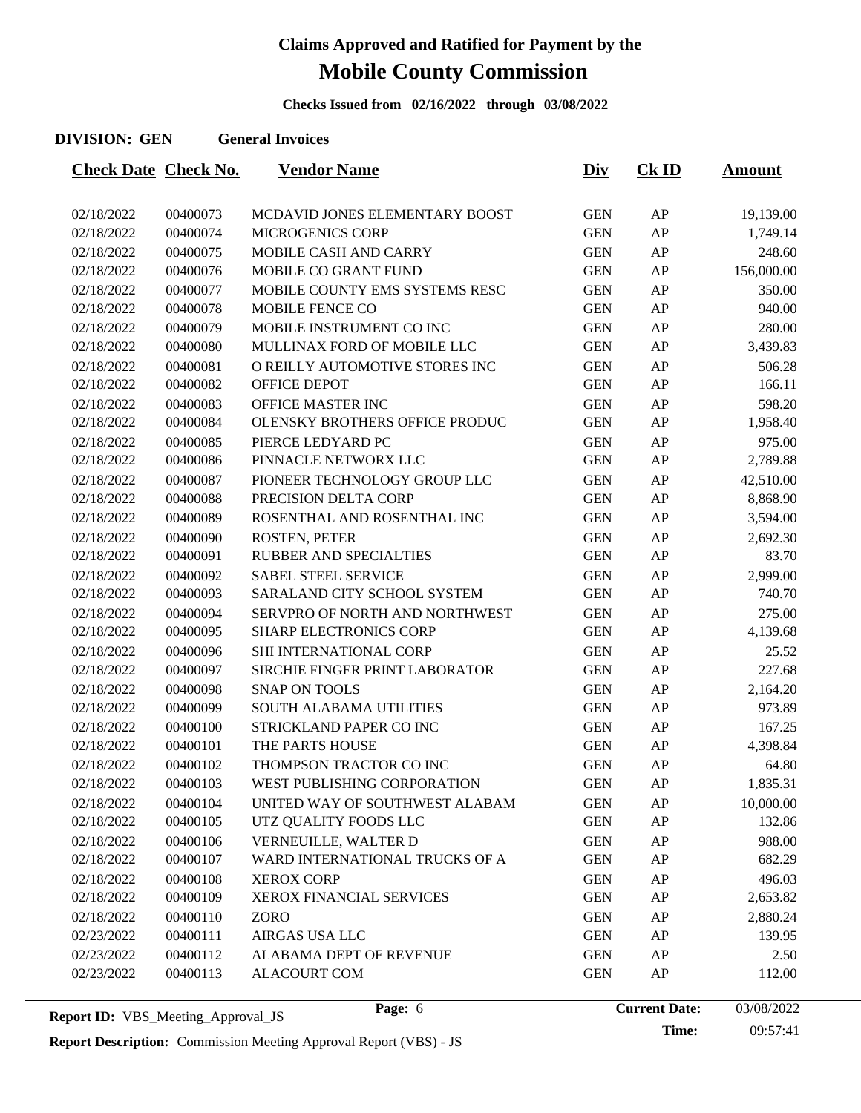**Checks Issued from 02/16/2022 through 03/08/2022**

#### **DIVISION: GEN General Invoices**

| <b>Check Date Check No.</b> |          | <b>Vendor Name</b>              | <u>Div</u> | $CK$ ID | <u>Amount</u> |
|-----------------------------|----------|---------------------------------|------------|---------|---------------|
|                             |          |                                 |            |         |               |
| 02/18/2022                  | 00400073 | MCDAVID JONES ELEMENTARY BOOST  | <b>GEN</b> | AP      | 19,139.00     |
| 02/18/2022                  | 00400074 | <b>MICROGENICS CORP</b>         | <b>GEN</b> | AP      | 1,749.14      |
| 02/18/2022                  | 00400075 | MOBILE CASH AND CARRY           | <b>GEN</b> | AP      | 248.60        |
| 02/18/2022                  | 00400076 | MOBILE CO GRANT FUND            | <b>GEN</b> | AP      | 156,000.00    |
| 02/18/2022                  | 00400077 | MOBILE COUNTY EMS SYSTEMS RESC  | <b>GEN</b> | AP      | 350.00        |
| 02/18/2022                  | 00400078 | <b>MOBILE FENCE CO</b>          | <b>GEN</b> | AP      | 940.00        |
| 02/18/2022                  | 00400079 | MOBILE INSTRUMENT CO INC        | <b>GEN</b> | AP      | 280.00        |
| 02/18/2022                  | 00400080 | MULLINAX FORD OF MOBILE LLC     | <b>GEN</b> | AP      | 3,439.83      |
| 02/18/2022                  | 00400081 | O REILLY AUTOMOTIVE STORES INC  | <b>GEN</b> | AP      | 506.28        |
| 02/18/2022                  | 00400082 | OFFICE DEPOT                    | <b>GEN</b> | AP      | 166.11        |
| 02/18/2022                  | 00400083 | OFFICE MASTER INC               | <b>GEN</b> | AP      | 598.20        |
| 02/18/2022                  | 00400084 | OLENSKY BROTHERS OFFICE PRODUC  | <b>GEN</b> | AP      | 1,958.40      |
| 02/18/2022                  | 00400085 | PIERCE LEDYARD PC               | <b>GEN</b> | AP      | 975.00        |
| 02/18/2022                  | 00400086 | PINNACLE NETWORX LLC            | <b>GEN</b> | AP      | 2,789.88      |
| 02/18/2022                  | 00400087 | PIONEER TECHNOLOGY GROUP LLC    | <b>GEN</b> | AP      | 42,510.00     |
| 02/18/2022                  | 00400088 | PRECISION DELTA CORP            | <b>GEN</b> | AP      | 8,868.90      |
| 02/18/2022                  | 00400089 | ROSENTHAL AND ROSENTHAL INC     | <b>GEN</b> | AP      | 3,594.00      |
| 02/18/2022                  | 00400090 | ROSTEN, PETER                   | <b>GEN</b> | AP      | 2,692.30      |
| 02/18/2022                  | 00400091 | RUBBER AND SPECIALTIES          | <b>GEN</b> | AP      | 83.70         |
| 02/18/2022                  | 00400092 | <b>SABEL STEEL SERVICE</b>      | <b>GEN</b> | AP      | 2,999.00      |
| 02/18/2022                  | 00400093 | SARALAND CITY SCHOOL SYSTEM     | <b>GEN</b> | AP      | 740.70        |
| 02/18/2022                  | 00400094 | SERVPRO OF NORTH AND NORTHWEST  | <b>GEN</b> | AP      | 275.00        |
| 02/18/2022                  | 00400095 | <b>SHARP ELECTRONICS CORP</b>   | <b>GEN</b> | AP      | 4,139.68      |
| 02/18/2022                  | 00400096 | SHI INTERNATIONAL CORP          | <b>GEN</b> | AP      | 25.52         |
| 02/18/2022                  | 00400097 | SIRCHIE FINGER PRINT LABORATOR  | <b>GEN</b> | AP      | 227.68        |
| 02/18/2022                  | 00400098 | <b>SNAP ON TOOLS</b>            | <b>GEN</b> | AP      | 2,164.20      |
| 02/18/2022                  | 00400099 | SOUTH ALABAMA UTILITIES         | <b>GEN</b> | AP      | 973.89        |
| 02/18/2022                  | 00400100 | STRICKLAND PAPER CO INC         | <b>GEN</b> | AP      | 167.25        |
| 02/18/2022                  | 00400101 | THE PARTS HOUSE                 | <b>GEN</b> | AP      | 4,398.84      |
| 02/18/2022                  | 00400102 | THOMPSON TRACTOR CO INC         | <b>GEN</b> | AP      | 64.80         |
| 02/18/2022                  | 00400103 | WEST PUBLISHING CORPORATION     | <b>GEN</b> | AP      | 1,835.31      |
| 02/18/2022                  | 00400104 | UNITED WAY OF SOUTHWEST ALABAM  | <b>GEN</b> | AP      | 10,000.00     |
| 02/18/2022                  | 00400105 | UTZ QUALITY FOODS LLC           | <b>GEN</b> | AP      | 132.86        |
| 02/18/2022                  | 00400106 | VERNEUILLE, WALTER D            | <b>GEN</b> | AP      | 988.00        |
| 02/18/2022                  | 00400107 | WARD INTERNATIONAL TRUCKS OF A  | <b>GEN</b> | AP      | 682.29        |
| 02/18/2022                  | 00400108 | <b>XEROX CORP</b>               | <b>GEN</b> | AP      | 496.03        |
| 02/18/2022                  | 00400109 | <b>XEROX FINANCIAL SERVICES</b> | <b>GEN</b> | AP      | 2,653.82      |
| 02/18/2022                  | 00400110 | <b>ZORO</b>                     | <b>GEN</b> | AP      | 2,880.24      |
| 02/23/2022                  | 00400111 | AIRGAS USA LLC                  | <b>GEN</b> | AP      | 139.95        |
| 02/23/2022                  | 00400112 | ALABAMA DEPT OF REVENUE         | <b>GEN</b> | AP      | 2.50          |
| 02/23/2022                  | 00400113 | <b>ALACOURT COM</b>             | <b>GEN</b> | AP      | 112.00        |
|                             |          |                                 |            |         |               |

**Report Description:** Commission Meeting Approval Report (VBS) - JS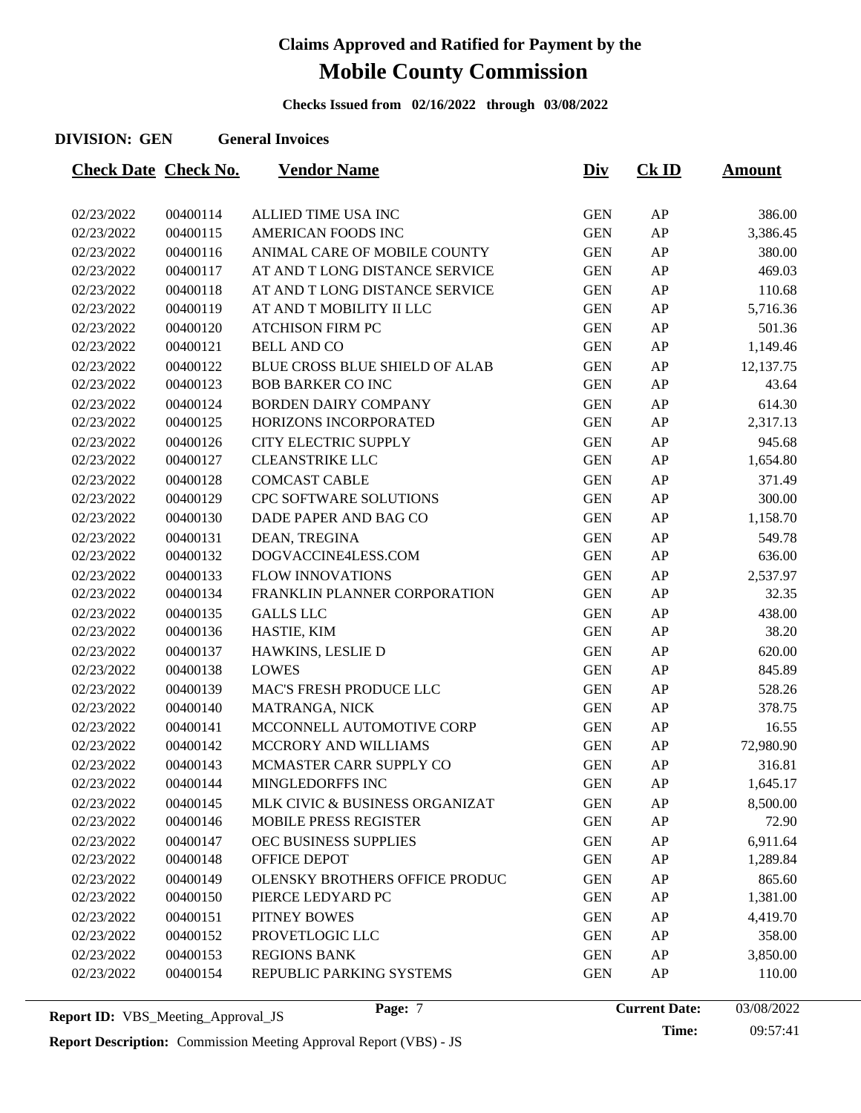**Checks Issued from 02/16/2022 through 03/08/2022**

#### **DIVISION: GEN General Invoices**

| <b>Check Date Check No.</b> |          | <b>Vendor Name</b>                    | <u>Div</u> | $CK$ ID | <b>Amount</b> |
|-----------------------------|----------|---------------------------------------|------------|---------|---------------|
|                             |          |                                       |            |         |               |
| 02/23/2022                  | 00400114 | ALLIED TIME USA INC                   | <b>GEN</b> | AP      | 386.00        |
| 02/23/2022                  | 00400115 | <b>AMERICAN FOODS INC</b>             | <b>GEN</b> | AP      | 3,386.45      |
| 02/23/2022                  | 00400116 | ANIMAL CARE OF MOBILE COUNTY          | <b>GEN</b> | AP      | 380.00        |
| 02/23/2022                  | 00400117 | AT AND T LONG DISTANCE SERVICE        | <b>GEN</b> | AP      | 469.03        |
| 02/23/2022                  | 00400118 | AT AND T LONG DISTANCE SERVICE        | <b>GEN</b> | AP      | 110.68        |
| 02/23/2022                  | 00400119 | AT AND T MOBILITY II LLC              | <b>GEN</b> | AP      | 5,716.36      |
| 02/23/2022                  | 00400120 | <b>ATCHISON FIRM PC</b>               | <b>GEN</b> | AP      | 501.36        |
| 02/23/2022                  | 00400121 | <b>BELL AND CO</b>                    | <b>GEN</b> | AP      | 1,149.46      |
| 02/23/2022                  | 00400122 | <b>BLUE CROSS BLUE SHIELD OF ALAB</b> | <b>GEN</b> | AP      | 12,137.75     |
| 02/23/2022                  | 00400123 | <b>BOB BARKER CO INC</b>              | <b>GEN</b> | AP      | 43.64         |
| 02/23/2022                  | 00400124 | <b>BORDEN DAIRY COMPANY</b>           | <b>GEN</b> | AP      | 614.30        |
| 02/23/2022                  | 00400125 | HORIZONS INCORPORATED                 | <b>GEN</b> | AP      | 2,317.13      |
| 02/23/2022                  | 00400126 | CITY ELECTRIC SUPPLY                  | <b>GEN</b> | AP      | 945.68        |
| 02/23/2022                  | 00400127 | <b>CLEANSTRIKE LLC</b>                | <b>GEN</b> | AP      | 1,654.80      |
| 02/23/2022                  | 00400128 | <b>COMCAST CABLE</b>                  | <b>GEN</b> | AP      | 371.49        |
| 02/23/2022                  | 00400129 | CPC SOFTWARE SOLUTIONS                | <b>GEN</b> | AP      | 300.00        |
| 02/23/2022                  | 00400130 | DADE PAPER AND BAG CO                 | <b>GEN</b> | AP      | 1,158.70      |
| 02/23/2022                  | 00400131 | DEAN, TREGINA                         | <b>GEN</b> | AP      | 549.78        |
| 02/23/2022                  | 00400132 | DOGVACCINE4LESS.COM                   | <b>GEN</b> | AP      | 636.00        |
| 02/23/2022                  | 00400133 | <b>FLOW INNOVATIONS</b>               | <b>GEN</b> | AP      | 2,537.97      |
| 02/23/2022                  | 00400134 | FRANKLIN PLANNER CORPORATION          | <b>GEN</b> | AP      | 32.35         |
| 02/23/2022                  | 00400135 | <b>GALLS LLC</b>                      | <b>GEN</b> | AP      | 438.00        |
| 02/23/2022                  | 00400136 | HASTIE, KIM                           | <b>GEN</b> | AP      | 38.20         |
| 02/23/2022                  | 00400137 | HAWKINS, LESLIE D                     | <b>GEN</b> | AP      | 620.00        |
| 02/23/2022                  | 00400138 | <b>LOWES</b>                          | <b>GEN</b> | AP      | 845.89        |
| 02/23/2022                  | 00400139 | MAC'S FRESH PRODUCE LLC               | <b>GEN</b> | AP      | 528.26        |
| 02/23/2022                  | 00400140 | MATRANGA, NICK                        | <b>GEN</b> | AP      | 378.75        |
| 02/23/2022                  | 00400141 | MCCONNELL AUTOMOTIVE CORP             | <b>GEN</b> | AP      | 16.55         |
| 02/23/2022                  | 00400142 | MCCRORY AND WILLIAMS                  | <b>GEN</b> | AP      | 72,980.90     |
| 02/23/2022                  | 00400143 | MCMASTER CARR SUPPLY CO               | <b>GEN</b> | AP      | 316.81        |
| 02/23/2022                  | 00400144 | MINGLEDORFFS INC                      | <b>GEN</b> | AP      | 1,645.17      |
| 02/23/2022                  | 00400145 | MLK CIVIC & BUSINESS ORGANIZAT        | <b>GEN</b> | AP      | 8,500.00      |
| 02/23/2022                  | 00400146 | <b>MOBILE PRESS REGISTER</b>          | <b>GEN</b> | AP      | 72.90         |
| 02/23/2022                  | 00400147 | OEC BUSINESS SUPPLIES                 | <b>GEN</b> | AP      | 6,911.64      |
| 02/23/2022                  | 00400148 | OFFICE DEPOT                          | <b>GEN</b> | AP      | 1,289.84      |
| 02/23/2022                  | 00400149 | OLENSKY BROTHERS OFFICE PRODUC        | <b>GEN</b> | AP      | 865.60        |
| 02/23/2022                  | 00400150 | PIERCE LEDYARD PC                     | <b>GEN</b> | AP      | 1,381.00      |
| 02/23/2022                  | 00400151 | PITNEY BOWES                          | <b>GEN</b> | AP      | 4,419.70      |
| 02/23/2022                  | 00400152 | PROVETLOGIC LLC                       | <b>GEN</b> | AP      | 358.00        |
| 02/23/2022                  | 00400153 | <b>REGIONS BANK</b>                   | <b>GEN</b> | AP      | 3,850.00      |
| 02/23/2022                  | 00400154 | REPUBLIC PARKING SYSTEMS              | <b>GEN</b> | AP      | 110.00        |
|                             |          |                                       |            |         |               |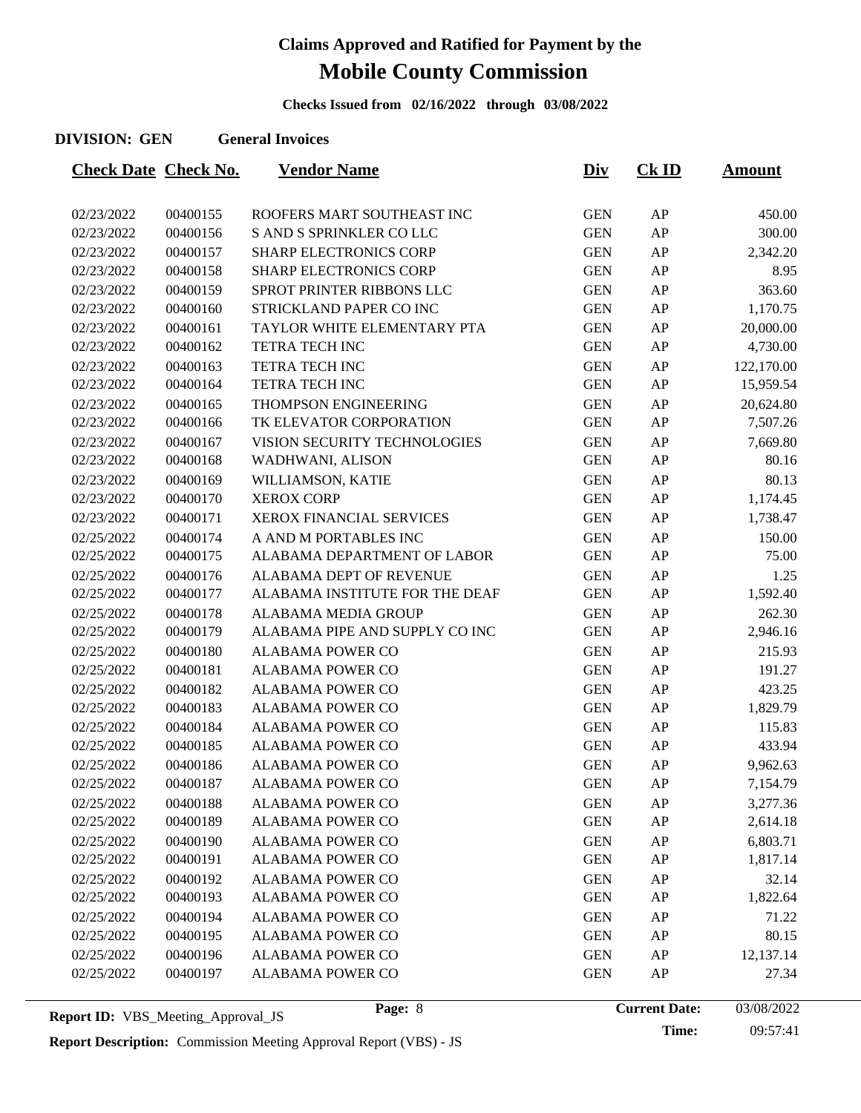**Checks Issued from 02/16/2022 through 03/08/2022**

#### **DIVISION: GEN General Invoices**

| <b>Check Date Check No.</b> |          | <b>Vendor Name</b>             | <u>Div</u> | $CK$ ID | <b>Amount</b> |
|-----------------------------|----------|--------------------------------|------------|---------|---------------|
|                             |          |                                |            |         |               |
| 02/23/2022                  | 00400155 | ROOFERS MART SOUTHEAST INC     | <b>GEN</b> | AP      | 450.00        |
| 02/23/2022                  | 00400156 | S AND S SPRINKLER CO LLC       | <b>GEN</b> | AP      | 300.00        |
| 02/23/2022                  | 00400157 | <b>SHARP ELECTRONICS CORP</b>  | <b>GEN</b> | AP      | 2,342.20      |
| 02/23/2022                  | 00400158 | <b>SHARP ELECTRONICS CORP</b>  | <b>GEN</b> | AP      | 8.95          |
| 02/23/2022                  | 00400159 | SPROT PRINTER RIBBONS LLC      | <b>GEN</b> | AP      | 363.60        |
| 02/23/2022                  | 00400160 | STRICKLAND PAPER CO INC        | <b>GEN</b> | AP      | 1,170.75      |
| 02/23/2022                  | 00400161 | TAYLOR WHITE ELEMENTARY PTA    | <b>GEN</b> | AP      | 20,000.00     |
| 02/23/2022                  | 00400162 | TETRA TECH INC                 | <b>GEN</b> | AP      | 4,730.00      |
| 02/23/2022                  | 00400163 | TETRA TECH INC                 | <b>GEN</b> | AP      | 122,170.00    |
| 02/23/2022                  | 00400164 | TETRA TECH INC                 | <b>GEN</b> | AP      | 15,959.54     |
| 02/23/2022                  | 00400165 | THOMPSON ENGINEERING           | <b>GEN</b> | AP      | 20,624.80     |
| 02/23/2022                  | 00400166 | TK ELEVATOR CORPORATION        | <b>GEN</b> | AP      | 7,507.26      |
| 02/23/2022                  | 00400167 | VISION SECURITY TECHNOLOGIES   | <b>GEN</b> | AP      | 7,669.80      |
| 02/23/2022                  | 00400168 | WADHWANI, ALISON               | <b>GEN</b> | AP      | 80.16         |
| 02/23/2022                  | 00400169 | WILLIAMSON, KATIE              | <b>GEN</b> | AP      | 80.13         |
| 02/23/2022                  | 00400170 | <b>XEROX CORP</b>              | <b>GEN</b> | AP      | 1,174.45      |
| 02/23/2022                  | 00400171 | XEROX FINANCIAL SERVICES       | <b>GEN</b> | AP      | 1,738.47      |
| 02/25/2022                  | 00400174 | A AND M PORTABLES INC          | <b>GEN</b> | AP      | 150.00        |
| 02/25/2022                  | 00400175 | ALABAMA DEPARTMENT OF LABOR    | <b>GEN</b> | AP      | 75.00         |
| 02/25/2022                  | 00400176 | ALABAMA DEPT OF REVENUE        | <b>GEN</b> | AP      | 1.25          |
| 02/25/2022                  | 00400177 | ALABAMA INSTITUTE FOR THE DEAF | <b>GEN</b> | AP      | 1,592.40      |
| 02/25/2022                  | 00400178 | ALABAMA MEDIA GROUP            | <b>GEN</b> | AP      | 262.30        |
| 02/25/2022                  | 00400179 | ALABAMA PIPE AND SUPPLY CO INC | <b>GEN</b> | AP      | 2,946.16      |
| 02/25/2022                  | 00400180 | <b>ALABAMA POWER CO</b>        | <b>GEN</b> | AP      | 215.93        |
| 02/25/2022                  | 00400181 | <b>ALABAMA POWER CO</b>        | <b>GEN</b> | AP      | 191.27        |
| 02/25/2022                  | 00400182 | <b>ALABAMA POWER CO</b>        | <b>GEN</b> | AP      | 423.25        |
| 02/25/2022                  | 00400183 | <b>ALABAMA POWER CO</b>        | <b>GEN</b> | AP      | 1,829.79      |
| 02/25/2022                  | 00400184 | <b>ALABAMA POWER CO</b>        | <b>GEN</b> | AP      | 115.83        |
| 02/25/2022                  | 00400185 | <b>ALABAMA POWER CO</b>        | <b>GEN</b> | AP      | 433.94        |
| 02/25/2022                  | 00400186 | <b>ALABAMA POWER CO</b>        | <b>GEN</b> | AP      | 9,962.63      |
| 02/25/2022                  | 00400187 | <b>ALABAMA POWER CO</b>        | <b>GEN</b> | AP      | 7,154.79      |
| 02/25/2022                  | 00400188 | <b>ALABAMA POWER CO</b>        | <b>GEN</b> | AP      | 3,277.36      |
| 02/25/2022                  | 00400189 | <b>ALABAMA POWER CO</b>        | <b>GEN</b> | AP      | 2,614.18      |
| 02/25/2022                  | 00400190 | <b>ALABAMA POWER CO</b>        | <b>GEN</b> | AP      | 6,803.71      |
| 02/25/2022                  | 00400191 | ALABAMA POWER CO               | <b>GEN</b> | AP      | 1,817.14      |
| 02/25/2022                  | 00400192 | <b>ALABAMA POWER CO</b>        | <b>GEN</b> | AP      | 32.14         |
| 02/25/2022                  | 00400193 | <b>ALABAMA POWER CO</b>        | <b>GEN</b> | AP      | 1,822.64      |
| 02/25/2022                  | 00400194 | <b>ALABAMA POWER CO</b>        | <b>GEN</b> | AP      | 71.22         |
| 02/25/2022                  | 00400195 | <b>ALABAMA POWER CO</b>        | <b>GEN</b> | AP      | 80.15         |
| 02/25/2022                  | 00400196 | <b>ALABAMA POWER CO</b>        | <b>GEN</b> | AP      | 12,137.14     |
| 02/25/2022                  | 00400197 | <b>ALABAMA POWER CO</b>        | <b>GEN</b> | AP      | 27.34         |
|                             |          |                                |            |         |               |

**Report ID:** VBS\_Meeting\_Approval\_JS **Page:** 8 **Page:** 8 **Current Date: Report Description:** Commission Meeting Approval Report (VBS) - JS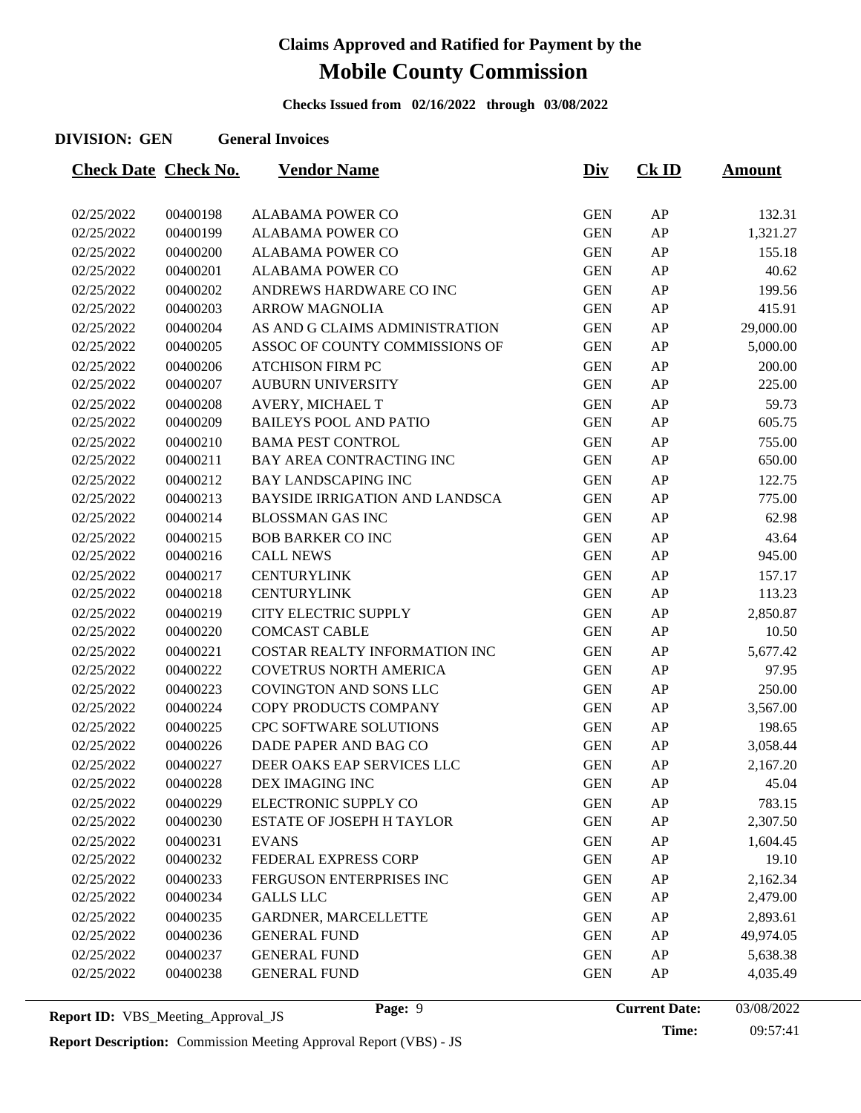**Checks Issued from 02/16/2022 through 03/08/2022**

#### **DIVISION: GEN General Invoices**

| <b>Check Date Check No.</b> |          | <b>Vendor Name</b>               | <u>Div</u> | $CK$ ID    | <b>Amount</b> |
|-----------------------------|----------|----------------------------------|------------|------------|---------------|
|                             |          |                                  |            |            |               |
| 02/25/2022                  | 00400198 | <b>ALABAMA POWER CO</b>          | <b>GEN</b> | ${\sf AP}$ | 132.31        |
| 02/25/2022                  | 00400199 | <b>ALABAMA POWER CO</b>          | <b>GEN</b> | ${\sf AP}$ | 1,321.27      |
| 02/25/2022                  | 00400200 | <b>ALABAMA POWER CO</b>          | <b>GEN</b> | AP         | 155.18        |
| 02/25/2022                  | 00400201 | <b>ALABAMA POWER CO</b>          | <b>GEN</b> | AP         | 40.62         |
| 02/25/2022                  | 00400202 | ANDREWS HARDWARE CO INC          | <b>GEN</b> | AP         | 199.56        |
| 02/25/2022                  | 00400203 | <b>ARROW MAGNOLIA</b>            | <b>GEN</b> | ${\sf AP}$ | 415.91        |
| 02/25/2022                  | 00400204 | AS AND G CLAIMS ADMINISTRATION   | <b>GEN</b> | AP         | 29,000.00     |
| 02/25/2022                  | 00400205 | ASSOC OF COUNTY COMMISSIONS OF   | <b>GEN</b> | AP         | 5,000.00      |
| 02/25/2022                  | 00400206 | <b>ATCHISON FIRM PC</b>          | <b>GEN</b> | AP         | 200.00        |
| 02/25/2022                  | 00400207 | <b>AUBURN UNIVERSITY</b>         | <b>GEN</b> | ${\sf AP}$ | 225.00        |
| 02/25/2022                  | 00400208 | AVERY, MICHAEL T                 | <b>GEN</b> | AP         | 59.73         |
| 02/25/2022                  | 00400209 | <b>BAILEYS POOL AND PATIO</b>    | <b>GEN</b> | AP         | 605.75        |
| 02/25/2022                  | 00400210 | <b>BAMA PEST CONTROL</b>         | <b>GEN</b> | AP         | 755.00        |
| 02/25/2022                  | 00400211 | <b>BAY AREA CONTRACTING INC</b>  | <b>GEN</b> | ${\sf AP}$ | 650.00        |
| 02/25/2022                  | 00400212 | <b>BAY LANDSCAPING INC</b>       | <b>GEN</b> | AP         | 122.75        |
| 02/25/2022                  | 00400213 | BAYSIDE IRRIGATION AND LANDSCA   | <b>GEN</b> | ${\sf AP}$ | 775.00        |
| 02/25/2022                  | 00400214 | <b>BLOSSMAN GAS INC</b>          | <b>GEN</b> | AP         | 62.98         |
| 02/25/2022                  | 00400215 | <b>BOB BARKER CO INC</b>         | <b>GEN</b> | AP         | 43.64         |
| 02/25/2022                  | 00400216 | <b>CALL NEWS</b>                 | <b>GEN</b> | AP         | 945.00        |
| 02/25/2022                  | 00400217 | <b>CENTURYLINK</b>               | <b>GEN</b> | AP         | 157.17        |
| 02/25/2022                  | 00400218 | <b>CENTURYLINK</b>               | <b>GEN</b> | ${\sf AP}$ | 113.23        |
| 02/25/2022                  | 00400219 | <b>CITY ELECTRIC SUPPLY</b>      | <b>GEN</b> | AP         | 2,850.87      |
| 02/25/2022                  | 00400220 | <b>COMCAST CABLE</b>             | <b>GEN</b> | AP         | 10.50         |
| 02/25/2022                  | 00400221 | COSTAR REALTY INFORMATION INC    | <b>GEN</b> | AP         | 5,677.42      |
| 02/25/2022                  | 00400222 | <b>COVETRUS NORTH AMERICA</b>    | <b>GEN</b> | ${\sf AP}$ | 97.95         |
| 02/25/2022                  | 00400223 | <b>COVINGTON AND SONS LLC</b>    | <b>GEN</b> | AP         | 250.00        |
| 02/25/2022                  | 00400224 | COPY PRODUCTS COMPANY            | <b>GEN</b> | AP         | 3,567.00      |
| 02/25/2022                  | 00400225 | CPC SOFTWARE SOLUTIONS           | <b>GEN</b> | ${\sf AP}$ | 198.65        |
| 02/25/2022                  | 00400226 | DADE PAPER AND BAG CO            | <b>GEN</b> | AP         | 3,058.44      |
| 02/25/2022                  | 00400227 | DEER OAKS EAP SERVICES LLC       | <b>GEN</b> | AP         | 2,167.20      |
| 02/25/2022                  | 00400228 | DEX IMAGING INC                  | <b>GEN</b> | AP         | 45.04         |
| 02/25/2022                  | 00400229 | ELECTRONIC SUPPLY CO             | <b>GEN</b> | AP         | 783.15        |
| 02/25/2022                  | 00400230 | <b>ESTATE OF JOSEPH H TAYLOR</b> | <b>GEN</b> | ${\sf AP}$ | 2,307.50      |
| 02/25/2022                  | 00400231 | <b>EVANS</b>                     | <b>GEN</b> | AP         | 1,604.45      |
| 02/25/2022                  | 00400232 | FEDERAL EXPRESS CORP             | <b>GEN</b> | AP         | 19.10         |
| 02/25/2022                  | 00400233 | FERGUSON ENTERPRISES INC         | <b>GEN</b> | ${\sf AP}$ | 2,162.34      |
| 02/25/2022                  | 00400234 | <b>GALLS LLC</b>                 | <b>GEN</b> | AP         | 2,479.00      |
| 02/25/2022                  | 00400235 | GARDNER, MARCELLETTE             | <b>GEN</b> | AP         | 2,893.61      |
| 02/25/2022                  | 00400236 | <b>GENERAL FUND</b>              | <b>GEN</b> | AP         | 49,974.05     |
| 02/25/2022                  | 00400237 | <b>GENERAL FUND</b>              | <b>GEN</b> | ${\sf AP}$ | 5,638.38      |
| 02/25/2022                  | 00400238 | <b>GENERAL FUND</b>              | <b>GEN</b> | ${\sf AP}$ | 4,035.49      |
|                             |          |                                  |            |            |               |

**Report ID:** VBS\_Meeting\_Approval\_JS **Page:** 9 **Page:** 9 **Current Date:** 

Page: 9 **Current Date:** 03/08/2022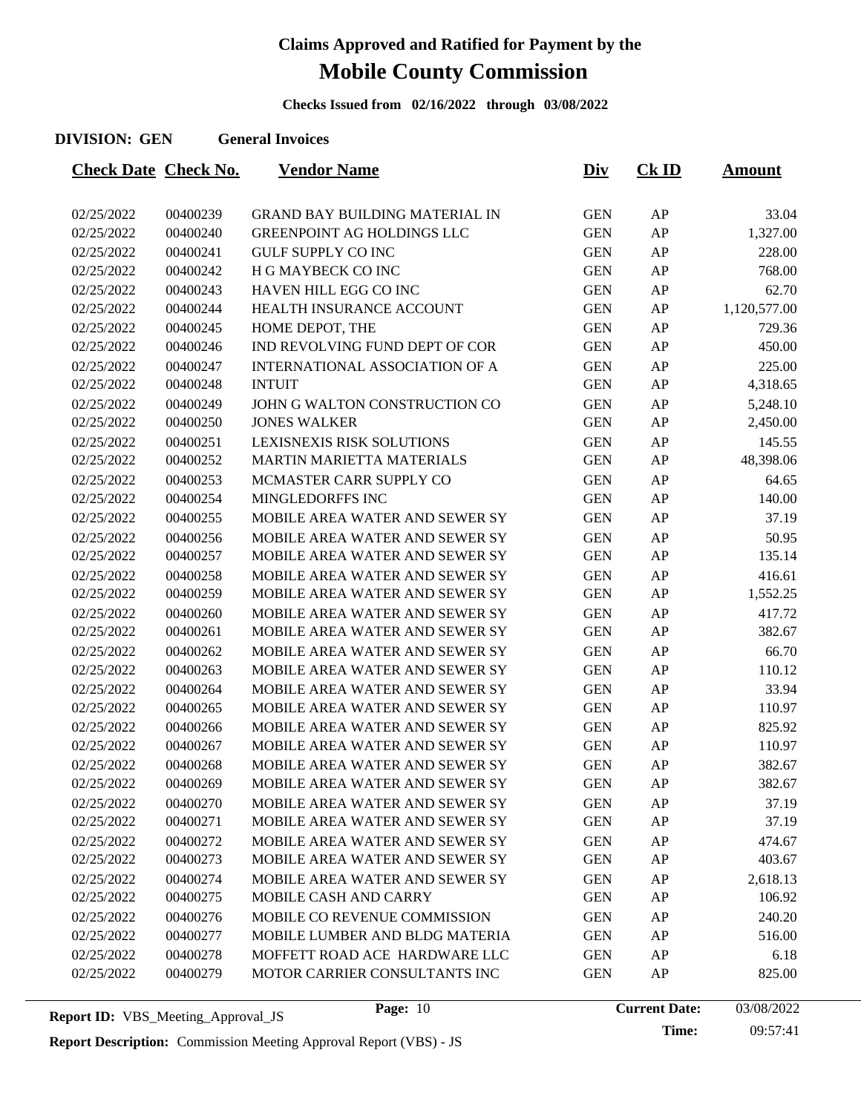**Checks Issued from 02/16/2022 through 03/08/2022**

#### **DIVISION: GEN General Invoices**

| <b>Check Date Check No.</b> |          | <b>Vendor Name</b>                    | <u>Div</u> | $CK$ ID | <u>Amount</u> |
|-----------------------------|----------|---------------------------------------|------------|---------|---------------|
| 02/25/2022                  | 00400239 | <b>GRAND BAY BUILDING MATERIAL IN</b> | <b>GEN</b> | AP      | 33.04         |
| 02/25/2022                  | 00400240 | GREENPOINT AG HOLDINGS LLC            | <b>GEN</b> | AP      | 1,327.00      |
| 02/25/2022                  | 00400241 | <b>GULF SUPPLY CO INC</b>             | <b>GEN</b> | AP      | 228.00        |
| 02/25/2022                  | 00400242 | H G MAYBECK CO INC                    | <b>GEN</b> | AP      | 768.00        |
| 02/25/2022                  | 00400243 | HAVEN HILL EGG CO INC                 | <b>GEN</b> | AP      | 62.70         |
| 02/25/2022                  | 00400244 | HEALTH INSURANCE ACCOUNT              | <b>GEN</b> | AP      | 1,120,577.00  |
| 02/25/2022                  | 00400245 | HOME DEPOT, THE                       | <b>GEN</b> | AP      | 729.36        |
| 02/25/2022                  | 00400246 | IND REVOLVING FUND DEPT OF COR        | <b>GEN</b> | AP      | 450.00        |
| 02/25/2022                  | 00400247 | INTERNATIONAL ASSOCIATION OF A        | <b>GEN</b> | AP      | 225.00        |
| 02/25/2022                  | 00400248 | <b>INTUIT</b>                         | <b>GEN</b> | AP      | 4,318.65      |
| 02/25/2022                  | 00400249 | JOHN G WALTON CONSTRUCTION CO         | <b>GEN</b> | AP      | 5,248.10      |
| 02/25/2022                  | 00400250 | <b>JONES WALKER</b>                   | <b>GEN</b> | AP      | 2,450.00      |
| 02/25/2022                  | 00400251 | <b>LEXISNEXIS RISK SOLUTIONS</b>      | <b>GEN</b> | AP      | 145.55        |
| 02/25/2022                  | 00400252 | <b>MARTIN MARIETTA MATERIALS</b>      | <b>GEN</b> | AP      | 48,398.06     |
| 02/25/2022                  | 00400253 | MCMASTER CARR SUPPLY CO               | <b>GEN</b> | AP      | 64.65         |
| 02/25/2022                  | 00400254 | MINGLEDORFFS INC                      | <b>GEN</b> | AP      | 140.00        |
| 02/25/2022                  | 00400255 | MOBILE AREA WATER AND SEWER SY        | <b>GEN</b> | AP      | 37.19         |
| 02/25/2022                  | 00400256 | MOBILE AREA WATER AND SEWER SY        | <b>GEN</b> | AP      | 50.95         |
| 02/25/2022                  | 00400257 | MOBILE AREA WATER AND SEWER SY        | <b>GEN</b> | AP      | 135.14        |
| 02/25/2022                  | 00400258 | MOBILE AREA WATER AND SEWER SY        | <b>GEN</b> | AP      | 416.61        |
| 02/25/2022                  | 00400259 | MOBILE AREA WATER AND SEWER SY        | <b>GEN</b> | AP      | 1,552.25      |
| 02/25/2022                  | 00400260 | MOBILE AREA WATER AND SEWER SY        | <b>GEN</b> | AP      | 417.72        |
| 02/25/2022                  | 00400261 | MOBILE AREA WATER AND SEWER SY        | <b>GEN</b> | AP      | 382.67        |
| 02/25/2022                  | 00400262 | MOBILE AREA WATER AND SEWER SY        | <b>GEN</b> | AP      | 66.70         |
| 02/25/2022                  | 00400263 | <b>MOBILE AREA WATER AND SEWER SY</b> | <b>GEN</b> | AP      | 110.12        |
| 02/25/2022                  | 00400264 | MOBILE AREA WATER AND SEWER SY        | <b>GEN</b> | AP      | 33.94         |
| 02/25/2022                  | 00400265 | MOBILE AREA WATER AND SEWER SY        | <b>GEN</b> | AP      | 110.97        |
| 02/25/2022                  | 00400266 | MOBILE AREA WATER AND SEWER SY        | <b>GEN</b> | AP      | 825.92        |
| 02/25/2022                  | 00400267 | MOBILE AREA WATER AND SEWER SY        | <b>GEN</b> | AP      | 110.97        |
| 02/25/2022                  | 00400268 | MOBILE AREA WATER AND SEWER SY        | <b>GEN</b> | AP      | 382.67        |
| 02/25/2022                  | 00400269 | MOBILE AREA WATER AND SEWER SY        | <b>GEN</b> | AP      | 382.67        |
| 02/25/2022                  | 00400270 | <b>MOBILE AREA WATER AND SEWER SY</b> | <b>GEN</b> | AP      | 37.19         |
| 02/25/2022                  | 00400271 | <b>MOBILE AREA WATER AND SEWER SY</b> | <b>GEN</b> | AP      | 37.19         |
| 02/25/2022                  | 00400272 | <b>MOBILE AREA WATER AND SEWER SY</b> | <b>GEN</b> | AP      | 474.67        |
| 02/25/2022                  | 00400273 | <b>MOBILE AREA WATER AND SEWER SY</b> | <b>GEN</b> | AP      | 403.67        |
| 02/25/2022                  | 00400274 | <b>MOBILE AREA WATER AND SEWER SY</b> | <b>GEN</b> | AP      | 2,618.13      |
| 02/25/2022                  | 00400275 | MOBILE CASH AND CARRY                 | <b>GEN</b> | AP      | 106.92        |
| 02/25/2022                  | 00400276 | MOBILE CO REVENUE COMMISSION          | <b>GEN</b> | AP      | 240.20        |
| 02/25/2022                  | 00400277 | MOBILE LUMBER AND BLDG MATERIA        | <b>GEN</b> | AP      | 516.00        |
| 02/25/2022                  | 00400278 | MOFFETT ROAD ACE HARDWARE LLC         | <b>GEN</b> | AP      | 6.18          |
| 02/25/2022                  | 00400279 | MOTOR CARRIER CONSULTANTS INC         | <b>GEN</b> | AP      | 825.00        |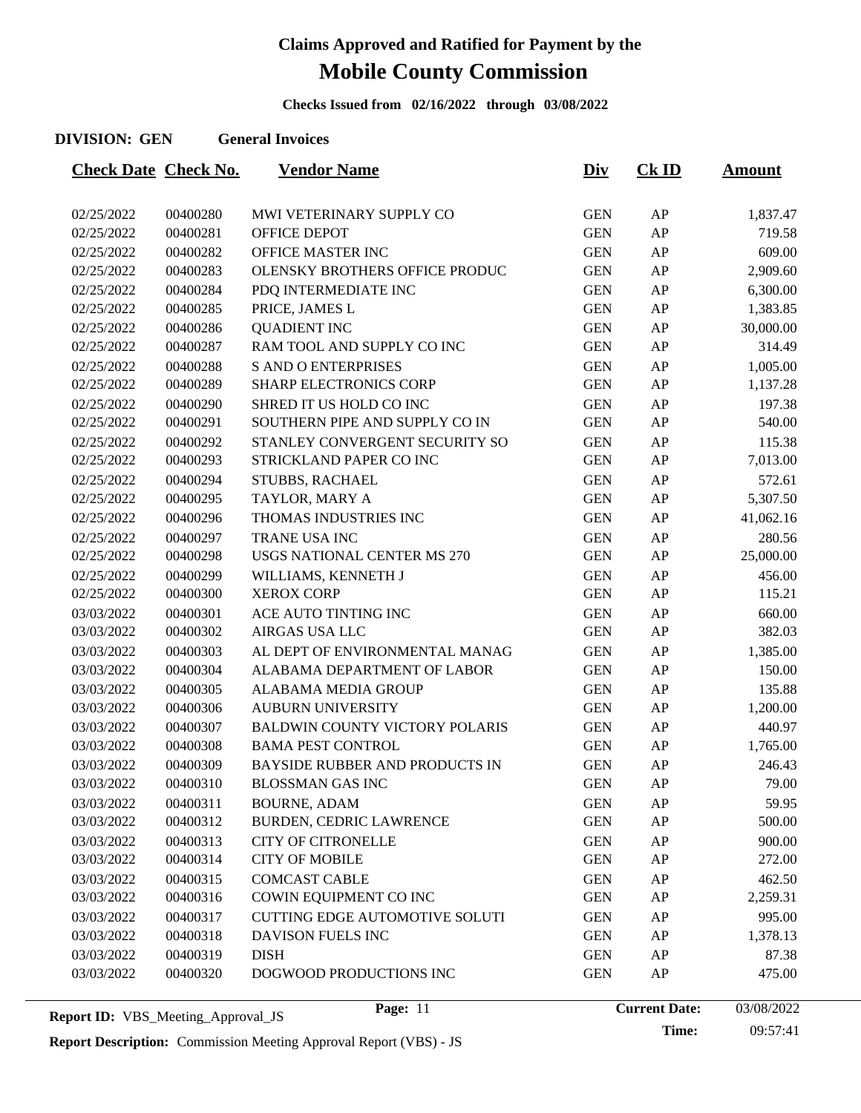**Checks Issued from 02/16/2022 through 03/08/2022**

#### **DIVISION: GEN General Invoices**

| <b>Check Date Check No.</b> |          | <b>Vendor Name</b>                    | <u>Div</u> | $CK$ ID    | <b>Amount</b> |
|-----------------------------|----------|---------------------------------------|------------|------------|---------------|
|                             |          |                                       |            |            |               |
| 02/25/2022                  | 00400280 | MWI VETERINARY SUPPLY CO              | <b>GEN</b> | AP         | 1,837.47      |
| 02/25/2022                  | 00400281 | OFFICE DEPOT                          | <b>GEN</b> | AP         | 719.58        |
| 02/25/2022                  | 00400282 | OFFICE MASTER INC                     | <b>GEN</b> | AP         | 609.00        |
| 02/25/2022                  | 00400283 | OLENSKY BROTHERS OFFICE PRODUC        | <b>GEN</b> | AP         | 2,909.60      |
| 02/25/2022                  | 00400284 | PDQ INTERMEDIATE INC                  | <b>GEN</b> | AP         | 6,300.00      |
| 02/25/2022                  | 00400285 | PRICE, JAMES L                        | <b>GEN</b> | ${\sf AP}$ | 1,383.85      |
| 02/25/2022                  | 00400286 | <b>QUADIENT INC</b>                   | <b>GEN</b> | AP         | 30,000.00     |
| 02/25/2022                  | 00400287 | RAM TOOL AND SUPPLY CO INC            | <b>GEN</b> | AP         | 314.49        |
| 02/25/2022                  | 00400288 | <b>S AND O ENTERPRISES</b>            | <b>GEN</b> | AP         | 1,005.00      |
| 02/25/2022                  | 00400289 | <b>SHARP ELECTRONICS CORP</b>         | <b>GEN</b> | AP         | 1,137.28      |
| 02/25/2022                  | 00400290 | SHRED IT US HOLD CO INC               | <b>GEN</b> | AP         | 197.38        |
| 02/25/2022                  | 00400291 | SOUTHERN PIPE AND SUPPLY CO IN        | <b>GEN</b> | AP         | 540.00        |
| 02/25/2022                  | 00400292 | STANLEY CONVERGENT SECURITY SO        | <b>GEN</b> | AP         | 115.38        |
| 02/25/2022                  | 00400293 | STRICKLAND PAPER CO INC               | <b>GEN</b> | ${\sf AP}$ | 7,013.00      |
| 02/25/2022                  | 00400294 | STUBBS, RACHAEL                       | <b>GEN</b> | AP         | 572.61        |
| 02/25/2022                  | 00400295 | TAYLOR, MARY A                        | <b>GEN</b> | AP         | 5,307.50      |
| 02/25/2022                  | 00400296 | THOMAS INDUSTRIES INC                 | <b>GEN</b> | AP         | 41,062.16     |
| 02/25/2022                  | 00400297 | TRANE USA INC                         | <b>GEN</b> | AP         | 280.56        |
| 02/25/2022                  | 00400298 | <b>USGS NATIONAL CENTER MS 270</b>    | <b>GEN</b> | AP         | 25,000.00     |
| 02/25/2022                  | 00400299 | WILLIAMS, KENNETH J                   | <b>GEN</b> | AP         | 456.00        |
| 02/25/2022                  | 00400300 | <b>XEROX CORP</b>                     | <b>GEN</b> | AP         | 115.21        |
| 03/03/2022                  | 00400301 | ACE AUTO TINTING INC                  | <b>GEN</b> | AP         | 660.00        |
| 03/03/2022                  | 00400302 | <b>AIRGAS USA LLC</b>                 | <b>GEN</b> | AP         | 382.03        |
| 03/03/2022                  | 00400303 | AL DEPT OF ENVIRONMENTAL MANAG        | <b>GEN</b> | AP         | 1,385.00      |
| 03/03/2022                  | 00400304 | ALABAMA DEPARTMENT OF LABOR           | <b>GEN</b> | AP         | 150.00        |
| 03/03/2022                  | 00400305 | ALABAMA MEDIA GROUP                   | <b>GEN</b> | AP         | 135.88        |
| 03/03/2022                  | 00400306 | <b>AUBURN UNIVERSITY</b>              | <b>GEN</b> | ${\sf AP}$ | 1,200.00      |
| 03/03/2022                  | 00400307 | <b>BALDWIN COUNTY VICTORY POLARIS</b> | <b>GEN</b> | AP         | 440.97        |
| 03/03/2022                  | 00400308 | <b>BAMA PEST CONTROL</b>              | <b>GEN</b> | AP         | 1,765.00      |
| 03/03/2022                  | 00400309 | BAYSIDE RUBBER AND PRODUCTS IN        | <b>GEN</b> | AP         | 246.43        |
| 03/03/2022                  | 00400310 | <b>BLOSSMAN GAS INC</b>               | <b>GEN</b> | AP         | 79.00         |
| 03/03/2022                  | 00400311 | <b>BOURNE, ADAM</b>                   | <b>GEN</b> | AP         | 59.95         |
| 03/03/2022                  | 00400312 | BURDEN, CEDRIC LAWRENCE               | <b>GEN</b> | ${\sf AP}$ | 500.00        |
| 03/03/2022                  | 00400313 | <b>CITY OF CITRONELLE</b>             | <b>GEN</b> | ${\sf AP}$ | 900.00        |
| 03/03/2022                  | 00400314 | <b>CITY OF MOBILE</b>                 | <b>GEN</b> | ${\sf AP}$ | 272.00        |
| 03/03/2022                  | 00400315 | <b>COMCAST CABLE</b>                  | <b>GEN</b> | AP         | 462.50        |
| 03/03/2022                  | 00400316 | COWIN EQUIPMENT CO INC                | <b>GEN</b> | ${\sf AP}$ | 2,259.31      |
| 03/03/2022                  | 00400317 | <b>CUTTING EDGE AUTOMOTIVE SOLUTI</b> | <b>GEN</b> | ${\sf AP}$ | 995.00        |
| 03/03/2022                  | 00400318 | DAVISON FUELS INC                     | <b>GEN</b> | AP         | 1,378.13      |
| 03/03/2022                  | 00400319 | <b>DISH</b>                           | <b>GEN</b> | AP         | 87.38         |
| 03/03/2022                  | 00400320 | DOGWOOD PRODUCTIONS INC               | <b>GEN</b> | ${\sf AP}$ | 475.00        |
|                             |          |                                       |            |            |               |

**Report Description:** Commission Meeting Approval Report (VBS) - JS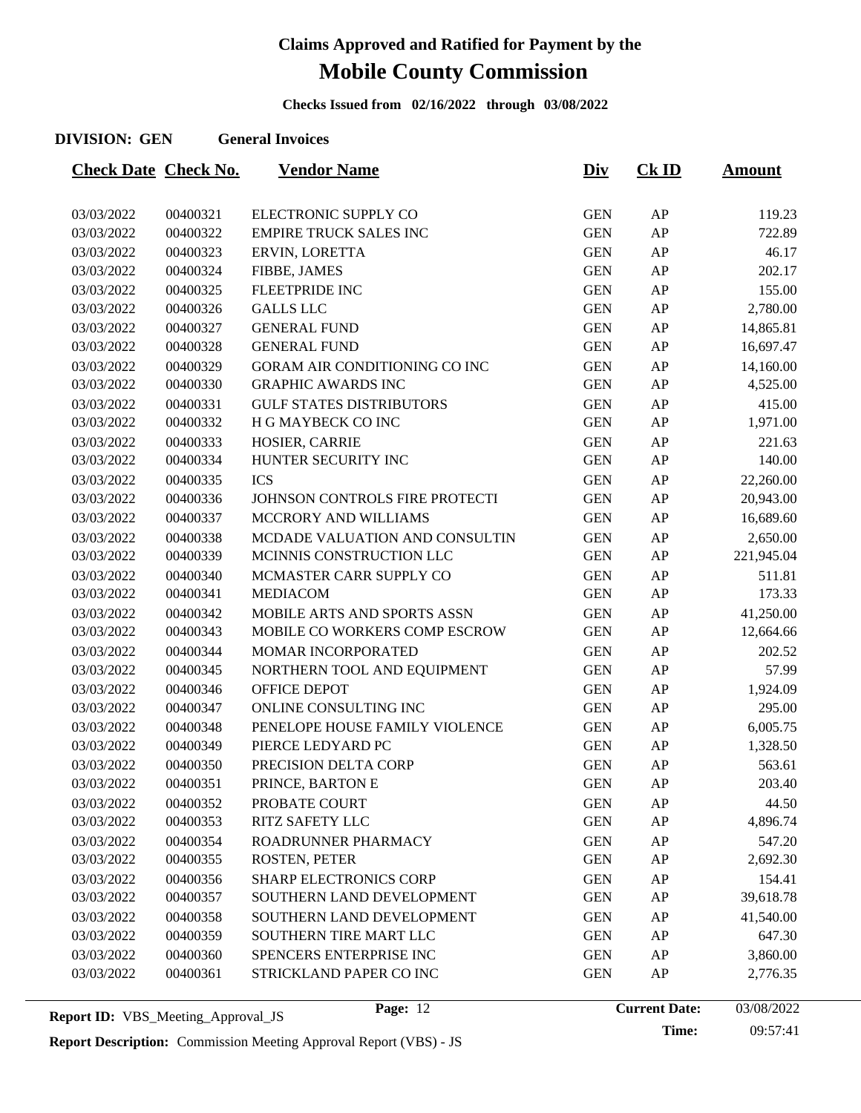**Checks Issued from 02/16/2022 through 03/08/2022**

#### **DIVISION: GEN General Invoices**

| <b>Check Date Check No.</b> |          | <b>Vendor Name</b>              | <u>Div</u> | $CK$ ID    | <u>Amount</u> |
|-----------------------------|----------|---------------------------------|------------|------------|---------------|
|                             |          |                                 |            |            |               |
| 03/03/2022                  | 00400321 | ELECTRONIC SUPPLY CO            | <b>GEN</b> | AP         | 119.23        |
| 03/03/2022                  | 00400322 | <b>EMPIRE TRUCK SALES INC</b>   | <b>GEN</b> | AP         | 722.89        |
| 03/03/2022                  | 00400323 | ERVIN, LORETTA                  | <b>GEN</b> | ${\sf AP}$ | 46.17         |
| 03/03/2022                  | 00400324 | FIBBE, JAMES                    | <b>GEN</b> | AP         | 202.17        |
| 03/03/2022                  | 00400325 | <b>FLEETPRIDE INC</b>           | <b>GEN</b> | AP         | 155.00        |
| 03/03/2022                  | 00400326 | <b>GALLS LLC</b>                | <b>GEN</b> | ${\sf AP}$ | 2,780.00      |
| 03/03/2022                  | 00400327 | <b>GENERAL FUND</b>             | <b>GEN</b> | AP         | 14,865.81     |
| 03/03/2022                  | 00400328 | <b>GENERAL FUND</b>             | <b>GEN</b> | AP         | 16,697.47     |
| 03/03/2022                  | 00400329 | GORAM AIR CONDITIONING CO INC   | <b>GEN</b> | AP         | 14,160.00     |
| 03/03/2022                  | 00400330 | <b>GRAPHIC AWARDS INC</b>       | <b>GEN</b> | ${\sf AP}$ | 4,525.00      |
| 03/03/2022                  | 00400331 | <b>GULF STATES DISTRIBUTORS</b> | <b>GEN</b> | ${\sf AP}$ | 415.00        |
| 03/03/2022                  | 00400332 | H G MAYBECK CO INC              | <b>GEN</b> | AP         | 1,971.00      |
| 03/03/2022                  | 00400333 | HOSIER, CARRIE                  | <b>GEN</b> | AP         | 221.63        |
| 03/03/2022                  | 00400334 | HUNTER SECURITY INC             | <b>GEN</b> | ${\sf AP}$ | 140.00        |
| 03/03/2022                  | 00400335 | <b>ICS</b>                      | <b>GEN</b> | AP         | 22,260.00     |
| 03/03/2022                  | 00400336 | JOHNSON CONTROLS FIRE PROTECTI  | <b>GEN</b> | AP         | 20,943.00     |
| 03/03/2022                  | 00400337 | MCCRORY AND WILLIAMS            | <b>GEN</b> | AP         | 16,689.60     |
| 03/03/2022                  | 00400338 | MCDADE VALUATION AND CONSULTIN  | <b>GEN</b> | AP         | 2,650.00      |
| 03/03/2022                  | 00400339 | MCINNIS CONSTRUCTION LLC        | <b>GEN</b> | ${\sf AP}$ | 221,945.04    |
| 03/03/2022                  | 00400340 | MCMASTER CARR SUPPLY CO         | <b>GEN</b> | AP         | 511.81        |
| 03/03/2022                  | 00400341 | <b>MEDIACOM</b>                 | <b>GEN</b> | ${\sf AP}$ | 173.33        |
| 03/03/2022                  | 00400342 | MOBILE ARTS AND SPORTS ASSN     | <b>GEN</b> | AP         | 41,250.00     |
| 03/03/2022                  | 00400343 | MOBILE CO WORKERS COMP ESCROW   | <b>GEN</b> | AP         | 12,664.66     |
| 03/03/2022                  | 00400344 | MOMAR INCORPORATED              | <b>GEN</b> | AP         | 202.52        |
| 03/03/2022                  | 00400345 | NORTHERN TOOL AND EQUIPMENT     | <b>GEN</b> | ${\sf AP}$ | 57.99         |
| 03/03/2022                  | 00400346 | OFFICE DEPOT                    | <b>GEN</b> | AP         | 1,924.09      |
| 03/03/2022                  | 00400347 | ONLINE CONSULTING INC           | <b>GEN</b> | ${\sf AP}$ | 295.00        |
| 03/03/2022                  | 00400348 | PENELOPE HOUSE FAMILY VIOLENCE  | <b>GEN</b> | AP         | 6,005.75      |
| 03/03/2022                  | 00400349 | PIERCE LEDYARD PC               | <b>GEN</b> | AP         | 1,328.50      |
| 03/03/2022                  | 00400350 | PRECISION DELTA CORP            | <b>GEN</b> | AP         | 563.61        |
| 03/03/2022                  | 00400351 | PRINCE, BARTON E                | <b>GEN</b> | AP         | 203.40        |
| 03/03/2022                  | 00400352 | PROBATE COURT                   | <b>GEN</b> | AP         | 44.50         |
| 03/03/2022                  | 00400353 | <b>RITZ SAFETY LLC</b>          | <b>GEN</b> | ${\sf AP}$ | 4,896.74      |
| 03/03/2022                  | 00400354 | ROADRUNNER PHARMACY             | <b>GEN</b> | AP         | 547.20        |
| 03/03/2022                  | 00400355 | ROSTEN, PETER                   | <b>GEN</b> | AP         | 2,692.30      |
| 03/03/2022                  | 00400356 | <b>SHARP ELECTRONICS CORP</b>   | <b>GEN</b> | AP         | 154.41        |
| 03/03/2022                  | 00400357 | SOUTHERN LAND DEVELOPMENT       | <b>GEN</b> | AP         | 39,618.78     |
| 03/03/2022                  | 00400358 | SOUTHERN LAND DEVELOPMENT       | <b>GEN</b> | AP         | 41,540.00     |
| 03/03/2022                  | 00400359 | SOUTHERN TIRE MART LLC          | <b>GEN</b> | AP         | 647.30        |
| 03/03/2022                  | 00400360 | SPENCERS ENTERPRISE INC         | <b>GEN</b> | AP         | 3,860.00      |
| 03/03/2022                  | 00400361 | STRICKLAND PAPER CO INC         | <b>GEN</b> | AP         | 2,776.35      |
|                             |          |                                 |            |            |               |

**Report ID:** VBS\_Meeting\_Approval\_JS **Page:** 12 **Current Date:** 

**Time:** 09:57:41 Page: 12 **Current Date:** 03/08/2022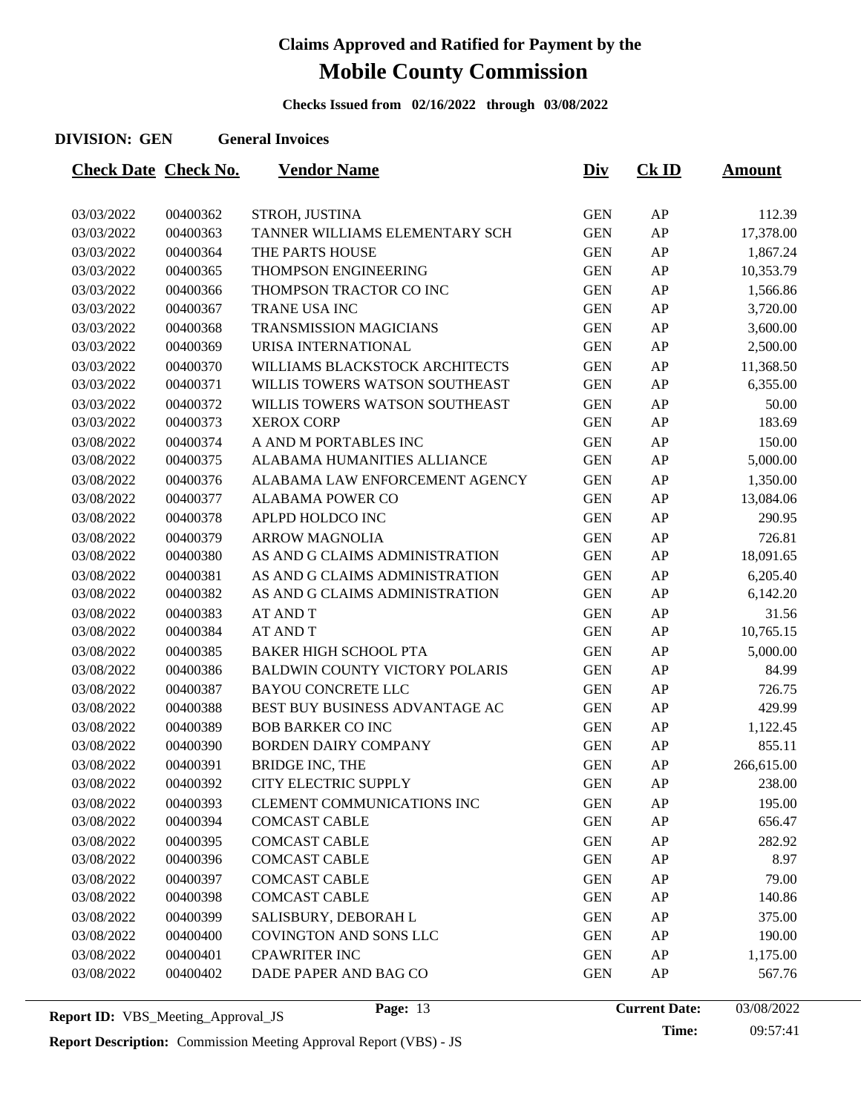**Checks Issued from 02/16/2022 through 03/08/2022**

#### **DIVISION: GEN General Invoices**

| <b>Check Date Check No.</b> |          | <b>Vendor Name</b>                    | <u>Div</u> | $CK$ ID    | <u>Amount</u> |
|-----------------------------|----------|---------------------------------------|------------|------------|---------------|
|                             |          |                                       |            |            |               |
| 03/03/2022                  | 00400362 | STROH, JUSTINA                        | <b>GEN</b> | AP         | 112.39        |
| 03/03/2022                  | 00400363 | TANNER WILLIAMS ELEMENTARY SCH        | <b>GEN</b> | AP         | 17,378.00     |
| 03/03/2022                  | 00400364 | THE PARTS HOUSE                       | <b>GEN</b> | AP         | 1,867.24      |
| 03/03/2022                  | 00400365 | THOMPSON ENGINEERING                  | <b>GEN</b> | AP         | 10,353.79     |
| 03/03/2022                  | 00400366 | THOMPSON TRACTOR CO INC               | <b>GEN</b> | AP         | 1,566.86      |
| 03/03/2022                  | 00400367 | TRANE USA INC                         | <b>GEN</b> | ${\sf AP}$ | 3,720.00      |
| 03/03/2022                  | 00400368 | <b>TRANSMISSION MAGICIANS</b>         | <b>GEN</b> | AP         | 3,600.00      |
| 03/03/2022                  | 00400369 | URISA INTERNATIONAL                   | <b>GEN</b> | AP         | 2,500.00      |
| 03/03/2022                  | 00400370 | WILLIAMS BLACKSTOCK ARCHITECTS        | <b>GEN</b> | AP         | 11,368.50     |
| 03/03/2022                  | 00400371 | WILLIS TOWERS WATSON SOUTHEAST        | <b>GEN</b> | AP         | 6,355.00      |
| 03/03/2022                  | 00400372 | WILLIS TOWERS WATSON SOUTHEAST        | <b>GEN</b> | AP         | 50.00         |
| 03/03/2022                  | 00400373 | <b>XEROX CORP</b>                     | <b>GEN</b> | AP         | 183.69        |
| 03/08/2022                  | 00400374 | A AND M PORTABLES INC                 | <b>GEN</b> | AP         | 150.00        |
| 03/08/2022                  | 00400375 | ALABAMA HUMANITIES ALLIANCE           | <b>GEN</b> | AP         | 5,000.00      |
| 03/08/2022                  | 00400376 | ALABAMA LAW ENFORCEMENT AGENCY        | <b>GEN</b> | AP         | 1,350.00      |
| 03/08/2022                  | 00400377 | <b>ALABAMA POWER CO</b>               | <b>GEN</b> | AP         | 13,084.06     |
| 03/08/2022                  | 00400378 | APLPD HOLDCO INC                      | <b>GEN</b> | AP         | 290.95        |
| 03/08/2022                  | 00400379 | <b>ARROW MAGNOLIA</b>                 | <b>GEN</b> | AP         | 726.81        |
| 03/08/2022                  | 00400380 | AS AND G CLAIMS ADMINISTRATION        | <b>GEN</b> | AP         | 18,091.65     |
| 03/08/2022                  | 00400381 | AS AND G CLAIMS ADMINISTRATION        | <b>GEN</b> | AP         | 6,205.40      |
| 03/08/2022                  | 00400382 | AS AND G CLAIMS ADMINISTRATION        | <b>GEN</b> | AP         | 6,142.20      |
| 03/08/2022                  | 00400383 | <b>AT AND T</b>                       | <b>GEN</b> | AP         | 31.56         |
| 03/08/2022                  | 00400384 | <b>AT AND T</b>                       | <b>GEN</b> | AP         | 10,765.15     |
| 03/08/2022                  | 00400385 | <b>BAKER HIGH SCHOOL PTA</b>          | <b>GEN</b> | AP         | 5,000.00      |
| 03/08/2022                  | 00400386 | <b>BALDWIN COUNTY VICTORY POLARIS</b> | <b>GEN</b> | AP         | 84.99         |
| 03/08/2022                  | 00400387 | <b>BAYOU CONCRETE LLC</b>             | <b>GEN</b> | AP         | 726.75        |
| 03/08/2022                  | 00400388 | BEST BUY BUSINESS ADVANTAGE AC        | <b>GEN</b> | AP         | 429.99        |
| 03/08/2022                  | 00400389 | <b>BOB BARKER CO INC</b>              | <b>GEN</b> | AP         | 1,122.45      |
| 03/08/2022                  | 00400390 | <b>BORDEN DAIRY COMPANY</b>           | <b>GEN</b> | AP         | 855.11        |
| 03/08/2022                  | 00400391 | <b>BRIDGE INC, THE</b>                | <b>GEN</b> | AP         | 266,615.00    |
| 03/08/2022                  | 00400392 | CITY ELECTRIC SUPPLY                  | <b>GEN</b> | AP         | 238.00        |
| 03/08/2022                  | 00400393 | CLEMENT COMMUNICATIONS INC            | <b>GEN</b> | AP         | 195.00        |
| 03/08/2022                  | 00400394 | <b>COMCAST CABLE</b>                  | <b>GEN</b> | AP         | 656.47        |
| 03/08/2022                  | 00400395 | <b>COMCAST CABLE</b>                  | <b>GEN</b> | AP         | 282.92        |
| 03/08/2022                  | 00400396 | <b>COMCAST CABLE</b>                  | <b>GEN</b> | AP         | 8.97          |
| 03/08/2022                  | 00400397 | <b>COMCAST CABLE</b>                  | <b>GEN</b> | AP         | 79.00         |
| 03/08/2022                  | 00400398 | <b>COMCAST CABLE</b>                  | <b>GEN</b> | AP         | 140.86        |
| 03/08/2022                  | 00400399 | SALISBURY, DEBORAH L                  | <b>GEN</b> | AP         | 375.00        |
| 03/08/2022                  | 00400400 | COVINGTON AND SONS LLC                | <b>GEN</b> | AP         | 190.00        |
| 03/08/2022                  | 00400401 | <b>CPAWRITER INC</b>                  | <b>GEN</b> | AP         | 1,175.00      |
| 03/08/2022                  | 00400402 | DADE PAPER AND BAG CO                 | <b>GEN</b> | AP         | 567.76        |
|                             |          |                                       |            |            |               |

**Report ID:** VBS\_Meeting\_Approval\_JS **Page:** 13 **Current Date:** 

**Time:** 09:57:41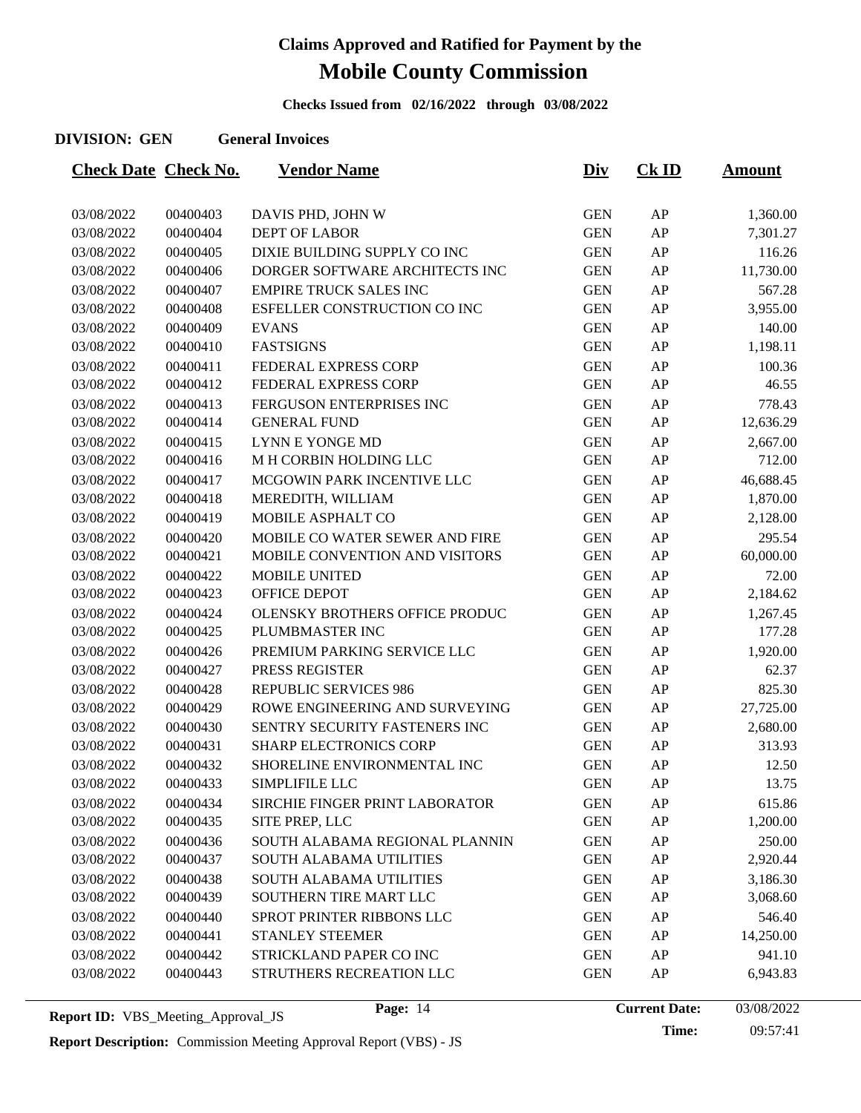**Checks Issued from 02/16/2022 through 03/08/2022**

#### **DIVISION: GEN General Invoices**

| <b>Check Date Check No.</b> |          | <b>Vendor Name</b>             | <u>Div</u> | $CK$ ID | <u>Amount</u> |
|-----------------------------|----------|--------------------------------|------------|---------|---------------|
|                             |          |                                |            |         |               |
| 03/08/2022                  | 00400403 | DAVIS PHD, JOHN W              | <b>GEN</b> | AP      | 1,360.00      |
| 03/08/2022                  | 00400404 | <b>DEPT OF LABOR</b>           | <b>GEN</b> | AP      | 7,301.27      |
| 03/08/2022                  | 00400405 | DIXIE BUILDING SUPPLY CO INC   | <b>GEN</b> | AP      | 116.26        |
| 03/08/2022                  | 00400406 | DORGER SOFTWARE ARCHITECTS INC | <b>GEN</b> | AP      | 11,730.00     |
| 03/08/2022                  | 00400407 | <b>EMPIRE TRUCK SALES INC</b>  | <b>GEN</b> | AP      | 567.28        |
| 03/08/2022                  | 00400408 | ESFELLER CONSTRUCTION CO INC   | <b>GEN</b> | AP      | 3,955.00      |
| 03/08/2022                  | 00400409 | <b>EVANS</b>                   | <b>GEN</b> | AP      | 140.00        |
| 03/08/2022                  | 00400410 | <b>FASTSIGNS</b>               | <b>GEN</b> | AP      | 1,198.11      |
| 03/08/2022                  | 00400411 | FEDERAL EXPRESS CORP           | <b>GEN</b> | AP      | 100.36        |
| 03/08/2022                  | 00400412 | FEDERAL EXPRESS CORP           | <b>GEN</b> | AP      | 46.55         |
| 03/08/2022                  | 00400413 | FERGUSON ENTERPRISES INC       | <b>GEN</b> | AP      | 778.43        |
| 03/08/2022                  | 00400414 | <b>GENERAL FUND</b>            | <b>GEN</b> | AP      | 12,636.29     |
| 03/08/2022                  | 00400415 | <b>LYNN E YONGE MD</b>         | <b>GEN</b> | AP      | 2,667.00      |
| 03/08/2022                  | 00400416 | M H CORBIN HOLDING LLC         | <b>GEN</b> | AP      | 712.00        |
| 03/08/2022                  | 00400417 | MCGOWIN PARK INCENTIVE LLC     | <b>GEN</b> | AP      | 46,688.45     |
| 03/08/2022                  | 00400418 | MEREDITH, WILLIAM              | <b>GEN</b> | AP      | 1,870.00      |
| 03/08/2022                  | 00400419 | MOBILE ASPHALT CO              | <b>GEN</b> | AP      | 2,128.00      |
| 03/08/2022                  | 00400420 | MOBILE CO WATER SEWER AND FIRE | <b>GEN</b> | AP      | 295.54        |
| 03/08/2022                  | 00400421 | MOBILE CONVENTION AND VISITORS | <b>GEN</b> | AP      | 60,000.00     |
| 03/08/2022                  | 00400422 | MOBILE UNITED                  | <b>GEN</b> | AP      | 72.00         |
| 03/08/2022                  | 00400423 | <b>OFFICE DEPOT</b>            | <b>GEN</b> | AP      | 2,184.62      |
| 03/08/2022                  | 00400424 | OLENSKY BROTHERS OFFICE PRODUC | <b>GEN</b> | AP      | 1,267.45      |
| 03/08/2022                  | 00400425 | PLUMBMASTER INC                | <b>GEN</b> | AP      | 177.28        |
| 03/08/2022                  | 00400426 | PREMIUM PARKING SERVICE LLC    | <b>GEN</b> | AP      | 1,920.00      |
| 03/08/2022                  | 00400427 | PRESS REGISTER                 | <b>GEN</b> | AP      | 62.37         |
| 03/08/2022                  | 00400428 | <b>REPUBLIC SERVICES 986</b>   | <b>GEN</b> | AP      | 825.30        |
| 03/08/2022                  | 00400429 | ROWE ENGINEERING AND SURVEYING | <b>GEN</b> | AP      | 27,725.00     |
| 03/08/2022                  | 00400430 | SENTRY SECURITY FASTENERS INC  | <b>GEN</b> | AP      | 2,680.00      |
| 03/08/2022                  | 00400431 | <b>SHARP ELECTRONICS CORP</b>  | <b>GEN</b> | AP      | 313.93        |
| 03/08/2022                  | 00400432 | SHORELINE ENVIRONMENTAL INC    | <b>GEN</b> | AP      | 12.50         |
| 03/08/2022                  | 00400433 | SIMPLIFILE LLC                 | <b>GEN</b> | AP      | 13.75         |
| 03/08/2022                  | 00400434 | SIRCHIE FINGER PRINT LABORATOR | <b>GEN</b> | AP      | 615.86        |
| 03/08/2022                  | 00400435 | SITE PREP, LLC                 | <b>GEN</b> | AP      | 1,200.00      |
| 03/08/2022                  | 00400436 | SOUTH ALABAMA REGIONAL PLANNIN | <b>GEN</b> | AP      | 250.00        |
| 03/08/2022                  | 00400437 | SOUTH ALABAMA UTILITIES        | <b>GEN</b> | AP      | 2,920.44      |
| 03/08/2022                  | 00400438 | <b>SOUTH ALABAMA UTILITIES</b> | <b>GEN</b> | AP      | 3,186.30      |
| 03/08/2022                  | 00400439 | SOUTHERN TIRE MART LLC         | <b>GEN</b> | AP      | 3,068.60      |
| 03/08/2022                  | 00400440 | SPROT PRINTER RIBBONS LLC      | <b>GEN</b> | AP      | 546.40        |
| 03/08/2022                  | 00400441 | STANLEY STEEMER                | <b>GEN</b> | AP      | 14,250.00     |
| 03/08/2022                  | 00400442 | STRICKLAND PAPER CO INC        | <b>GEN</b> | AP      | 941.10        |
| 03/08/2022                  | 00400443 | STRUTHERS RECREATION LLC       | <b>GEN</b> | AP      | 6,943.83      |
|                             |          |                                |            |         |               |

**Time:** 09:57:41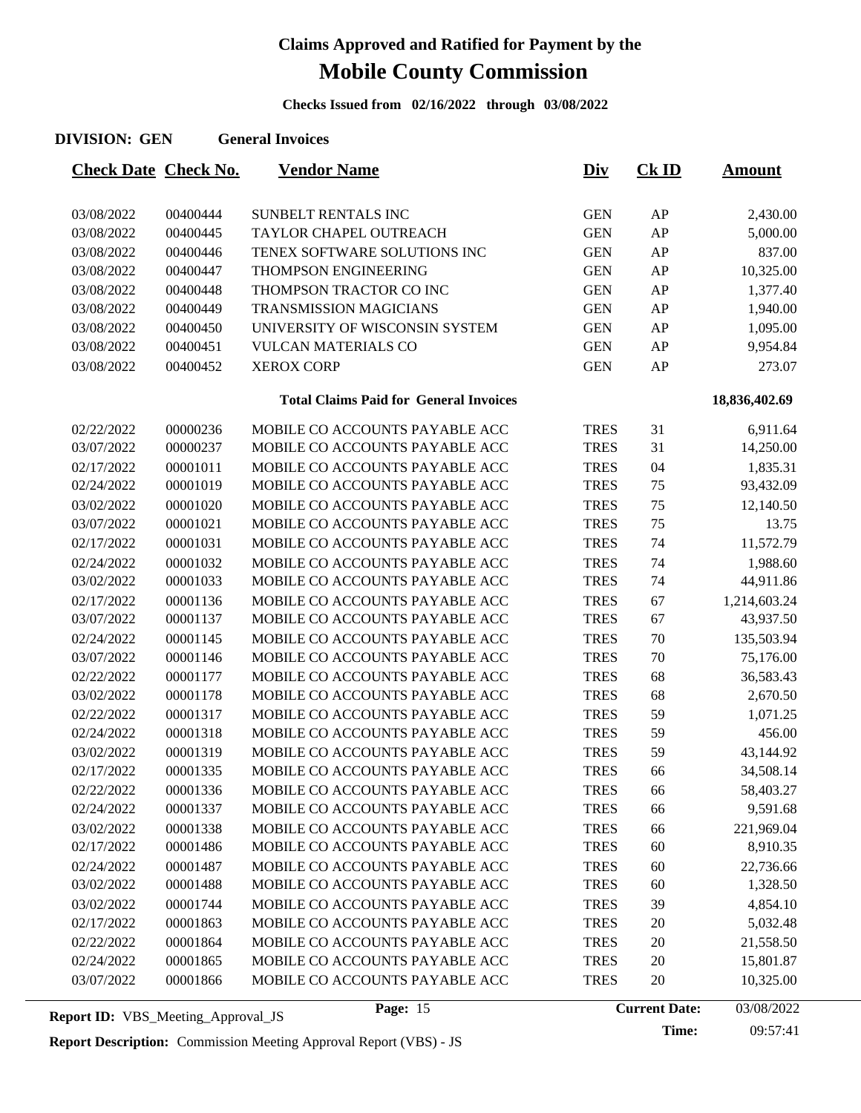**Checks Issued from 02/16/2022 through 03/08/2022**

| <b>Check Date Check No.</b> |          | <b>Vendor Name</b>                            | <u>Div</u>  | $CK$ ID | <b>Amount</b> |
|-----------------------------|----------|-----------------------------------------------|-------------|---------|---------------|
|                             |          |                                               |             |         |               |
| 03/08/2022                  | 00400444 | SUNBELT RENTALS INC                           | <b>GEN</b>  | AP      | 2,430.00      |
| 03/08/2022                  | 00400445 | TAYLOR CHAPEL OUTREACH                        | <b>GEN</b>  | AP      | 5,000.00      |
| 03/08/2022                  | 00400446 | TENEX SOFTWARE SOLUTIONS INC                  | <b>GEN</b>  | AP      | 837.00        |
| 03/08/2022                  | 00400447 | THOMPSON ENGINEERING                          | <b>GEN</b>  | AP      | 10,325.00     |
| 03/08/2022                  | 00400448 | THOMPSON TRACTOR CO INC                       | <b>GEN</b>  | AP      | 1,377.40      |
| 03/08/2022                  | 00400449 | <b>TRANSMISSION MAGICIANS</b>                 | <b>GEN</b>  | AP      | 1,940.00      |
| 03/08/2022                  | 00400450 | UNIVERSITY OF WISCONSIN SYSTEM                | <b>GEN</b>  | AP      | 1,095.00      |
| 03/08/2022                  | 00400451 | <b>VULCAN MATERIALS CO</b>                    | <b>GEN</b>  | AP      | 9,954.84      |
| 03/08/2022                  | 00400452 | <b>XEROX CORP</b>                             | <b>GEN</b>  | AP      | 273.07        |
|                             |          | <b>Total Claims Paid for General Invoices</b> |             |         | 18,836,402.69 |
| 02/22/2022                  | 00000236 | MOBILE CO ACCOUNTS PAYABLE ACC                | <b>TRES</b> | 31      | 6,911.64      |
| 03/07/2022                  | 00000237 | MOBILE CO ACCOUNTS PAYABLE ACC                | <b>TRES</b> | 31      | 14,250.00     |
| 02/17/2022                  | 00001011 | MOBILE CO ACCOUNTS PAYABLE ACC                | <b>TRES</b> | 04      | 1,835.31      |
| 02/24/2022                  | 00001019 | MOBILE CO ACCOUNTS PAYABLE ACC                | <b>TRES</b> | 75      | 93,432.09     |
| 03/02/2022                  | 00001020 | MOBILE CO ACCOUNTS PAYABLE ACC                | <b>TRES</b> | 75      | 12,140.50     |
| 03/07/2022                  | 00001021 | MOBILE CO ACCOUNTS PAYABLE ACC                | <b>TRES</b> | 75      | 13.75         |
| 02/17/2022                  | 00001031 | MOBILE CO ACCOUNTS PAYABLE ACC                | <b>TRES</b> | 74      | 11,572.79     |
| 02/24/2022                  | 00001032 | MOBILE CO ACCOUNTS PAYABLE ACC                | <b>TRES</b> | 74      | 1,988.60      |
| 03/02/2022                  | 00001033 | MOBILE CO ACCOUNTS PAYABLE ACC                | <b>TRES</b> | 74      | 44,911.86     |
| 02/17/2022                  | 00001136 | MOBILE CO ACCOUNTS PAYABLE ACC                | <b>TRES</b> | 67      | 1,214,603.24  |
| 03/07/2022                  | 00001137 | MOBILE CO ACCOUNTS PAYABLE ACC                | <b>TRES</b> | 67      | 43,937.50     |
| 02/24/2022                  | 00001145 | MOBILE CO ACCOUNTS PAYABLE ACC                | <b>TRES</b> | 70      | 135,503.94    |
| 03/07/2022                  | 00001146 | MOBILE CO ACCOUNTS PAYABLE ACC                | <b>TRES</b> | 70      | 75,176.00     |
| 02/22/2022                  | 00001177 | MOBILE CO ACCOUNTS PAYABLE ACC                | <b>TRES</b> | 68      | 36,583.43     |
| 03/02/2022                  | 00001178 | MOBILE CO ACCOUNTS PAYABLE ACC                | <b>TRES</b> | 68      | 2,670.50      |
| 02/22/2022                  | 00001317 | MOBILE CO ACCOUNTS PAYABLE ACC                | <b>TRES</b> | 59      | 1,071.25      |
| 02/24/2022                  | 00001318 | MOBILE CO ACCOUNTS PAYABLE ACC                | <b>TRES</b> | 59      | 456.00        |
| 03/02/2022                  | 00001319 | MOBILE CO ACCOUNTS PAYABLE ACC                | <b>TRES</b> | 59      | 43,144.92     |
| 02/17/2022                  | 00001335 | MOBILE CO ACCOUNTS PAYABLE ACC                | <b>TRES</b> | 66      | 34,508.14     |
| 02/22/2022                  | 00001336 | MOBILE CO ACCOUNTS PAYABLE ACC                | <b>TRES</b> | 66      | 58,403.27     |
| 02/24/2022                  | 00001337 | MOBILE CO ACCOUNTS PAYABLE ACC                | <b>TRES</b> | 66      | 9,591.68      |
| 03/02/2022                  | 00001338 | MOBILE CO ACCOUNTS PAYABLE ACC                | <b>TRES</b> | 66      | 221,969.04    |
| 02/17/2022                  | 00001486 | MOBILE CO ACCOUNTS PAYABLE ACC                | <b>TRES</b> | 60      | 8,910.35      |
| 02/24/2022                  | 00001487 | MOBILE CO ACCOUNTS PAYABLE ACC                | <b>TRES</b> | 60      | 22,736.66     |
| 03/02/2022                  | 00001488 | MOBILE CO ACCOUNTS PAYABLE ACC                | <b>TRES</b> | 60      | 1,328.50      |
| 03/02/2022                  | 00001744 | MOBILE CO ACCOUNTS PAYABLE ACC                | <b>TRES</b> | 39      | 4,854.10      |
| 02/17/2022                  | 00001863 | MOBILE CO ACCOUNTS PAYABLE ACC                | <b>TRES</b> | 20      | 5,032.48      |
| 02/22/2022                  | 00001864 | MOBILE CO ACCOUNTS PAYABLE ACC                | <b>TRES</b> | 20      | 21,558.50     |
| 02/24/2022                  | 00001865 | MOBILE CO ACCOUNTS PAYABLE ACC                | <b>TRES</b> | $20\,$  | 15,801.87     |
| 03/07/2022                  | 00001866 | MOBILE CO ACCOUNTS PAYABLE ACC                | <b>TRES</b> | $20\,$  | 10,325.00     |
|                             |          |                                               |             |         |               |

**Report ID:** VBS\_Meeting\_Approval\_JS **Page:** 15 **Current Date:** 

Page: 15 **Current Date:** 03/08/2022

**Time:** 09:57:41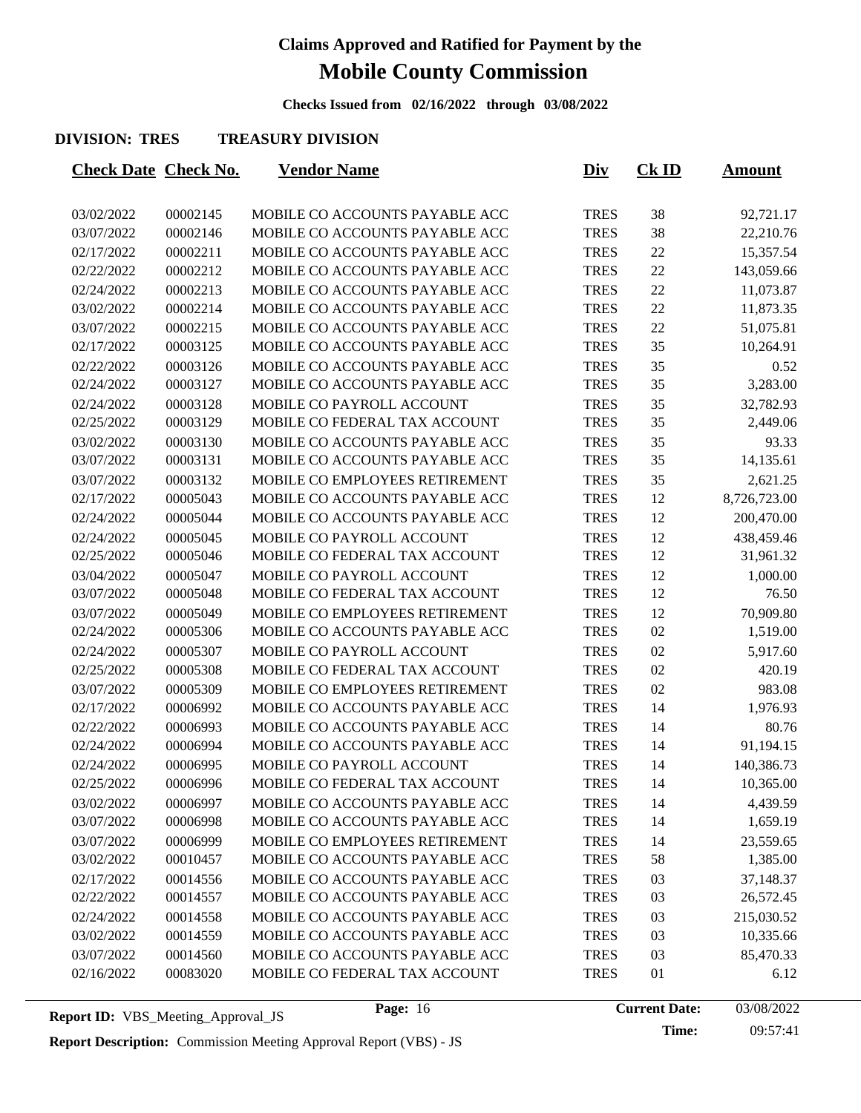**Checks Issued from 02/16/2022 through 03/08/2022**

#### **DIVISION: TRES TREASURY DIVISION**

|            | <b>Check Date Check No.</b> | <u>Vendor Name</u>             | <u>Div</u>  | $CK$ ID | <u>Amount</u> |
|------------|-----------------------------|--------------------------------|-------------|---------|---------------|
| 03/02/2022 | 00002145                    | MOBILE CO ACCOUNTS PAYABLE ACC | <b>TRES</b> | 38      | 92,721.17     |
| 03/07/2022 | 00002146                    | MOBILE CO ACCOUNTS PAYABLE ACC | <b>TRES</b> | 38      | 22,210.76     |
| 02/17/2022 | 00002211                    | MOBILE CO ACCOUNTS PAYABLE ACC | <b>TRES</b> | 22      | 15,357.54     |
| 02/22/2022 | 00002212                    | MOBILE CO ACCOUNTS PAYABLE ACC | <b>TRES</b> | 22      | 143,059.66    |
| 02/24/2022 | 00002213                    | MOBILE CO ACCOUNTS PAYABLE ACC | <b>TRES</b> | 22      | 11,073.87     |
| 03/02/2022 | 00002214                    | MOBILE CO ACCOUNTS PAYABLE ACC | <b>TRES</b> | 22      | 11,873.35     |
| 03/07/2022 | 00002215                    | MOBILE CO ACCOUNTS PAYABLE ACC | <b>TRES</b> | 22      | 51,075.81     |
| 02/17/2022 | 00003125                    | MOBILE CO ACCOUNTS PAYABLE ACC | <b>TRES</b> | 35      | 10,264.91     |
| 02/22/2022 | 00003126                    | MOBILE CO ACCOUNTS PAYABLE ACC | <b>TRES</b> | 35      | 0.52          |
| 02/24/2022 | 00003127                    | MOBILE CO ACCOUNTS PAYABLE ACC | <b>TRES</b> | 35      | 3,283.00      |
| 02/24/2022 | 00003128                    | MOBILE CO PAYROLL ACCOUNT      | <b>TRES</b> | 35      | 32,782.93     |
| 02/25/2022 | 00003129                    | MOBILE CO FEDERAL TAX ACCOUNT  | <b>TRES</b> | 35      | 2,449.06      |
| 03/02/2022 | 00003130                    | MOBILE CO ACCOUNTS PAYABLE ACC | <b>TRES</b> | 35      | 93.33         |
| 03/07/2022 | 00003131                    | MOBILE CO ACCOUNTS PAYABLE ACC | <b>TRES</b> | 35      | 14,135.61     |
| 03/07/2022 | 00003132                    | MOBILE CO EMPLOYEES RETIREMENT | <b>TRES</b> | 35      | 2,621.25      |
| 02/17/2022 | 00005043                    | MOBILE CO ACCOUNTS PAYABLE ACC | <b>TRES</b> | 12      | 8,726,723.00  |
| 02/24/2022 | 00005044                    | MOBILE CO ACCOUNTS PAYABLE ACC | <b>TRES</b> | 12      | 200,470.00    |
| 02/24/2022 | 00005045                    | MOBILE CO PAYROLL ACCOUNT      | <b>TRES</b> | 12      | 438,459.46    |
| 02/25/2022 | 00005046                    | MOBILE CO FEDERAL TAX ACCOUNT  | <b>TRES</b> | 12      | 31,961.32     |
| 03/04/2022 | 00005047                    | MOBILE CO PAYROLL ACCOUNT      | <b>TRES</b> | 12      | 1,000.00      |
| 03/07/2022 | 00005048                    | MOBILE CO FEDERAL TAX ACCOUNT  | <b>TRES</b> | 12      | 76.50         |
| 03/07/2022 | 00005049                    | MOBILE CO EMPLOYEES RETIREMENT | <b>TRES</b> | 12      | 70,909.80     |
| 02/24/2022 | 00005306                    | MOBILE CO ACCOUNTS PAYABLE ACC | <b>TRES</b> | 02      | 1,519.00      |
| 02/24/2022 | 00005307                    | MOBILE CO PAYROLL ACCOUNT      | <b>TRES</b> | 02      | 5,917.60      |
| 02/25/2022 | 00005308                    | MOBILE CO FEDERAL TAX ACCOUNT  | <b>TRES</b> | 02      | 420.19        |
| 03/07/2022 | 00005309                    | MOBILE CO EMPLOYEES RETIREMENT | <b>TRES</b> | 02      | 983.08        |
| 02/17/2022 | 00006992                    | MOBILE CO ACCOUNTS PAYABLE ACC | <b>TRES</b> | 14      | 1,976.93      |
| 02/22/2022 | 00006993                    | MOBILE CO ACCOUNTS PAYABLE ACC | <b>TRES</b> | 14      | 80.76         |
| 02/24/2022 | 00006994                    | MOBILE CO ACCOUNTS PAYABLE ACC | <b>TRES</b> | 14      | 91,194.15     |
| 02/24/2022 | 00006995                    | MOBILE CO PAYROLL ACCOUNT      | <b>TRES</b> | 14      | 140,386.73    |
| 02/25/2022 | 00006996                    | MOBILE CO FEDERAL TAX ACCOUNT  | <b>TRES</b> | 14      | 10,365.00     |
| 03/02/2022 | 00006997                    | MOBILE CO ACCOUNTS PAYABLE ACC | <b>TRES</b> | 14      | 4,439.59      |
| 03/07/2022 | 00006998                    | MOBILE CO ACCOUNTS PAYABLE ACC | <b>TRES</b> | 14      | 1,659.19      |
| 03/07/2022 | 00006999                    | MOBILE CO EMPLOYEES RETIREMENT | <b>TRES</b> | 14      | 23,559.65     |
| 03/02/2022 | 00010457                    | MOBILE CO ACCOUNTS PAYABLE ACC | <b>TRES</b> | 58      | 1,385.00      |
| 02/17/2022 | 00014556                    | MOBILE CO ACCOUNTS PAYABLE ACC | <b>TRES</b> | 03      | 37,148.37     |
| 02/22/2022 | 00014557                    | MOBILE CO ACCOUNTS PAYABLE ACC | <b>TRES</b> | 03      | 26,572.45     |
| 02/24/2022 | 00014558                    | MOBILE CO ACCOUNTS PAYABLE ACC | <b>TRES</b> | 03      | 215,030.52    |
| 03/02/2022 | 00014559                    | MOBILE CO ACCOUNTS PAYABLE ACC | <b>TRES</b> | 03      | 10,335.66     |
| 03/07/2022 | 00014560                    | MOBILE CO ACCOUNTS PAYABLE ACC | <b>TRES</b> | 03      | 85,470.33     |
| 02/16/2022 | 00083020                    | MOBILE CO FEDERAL TAX ACCOUNT  | <b>TRES</b> | 01      | 6.12          |
|            |                             |                                |             |         |               |